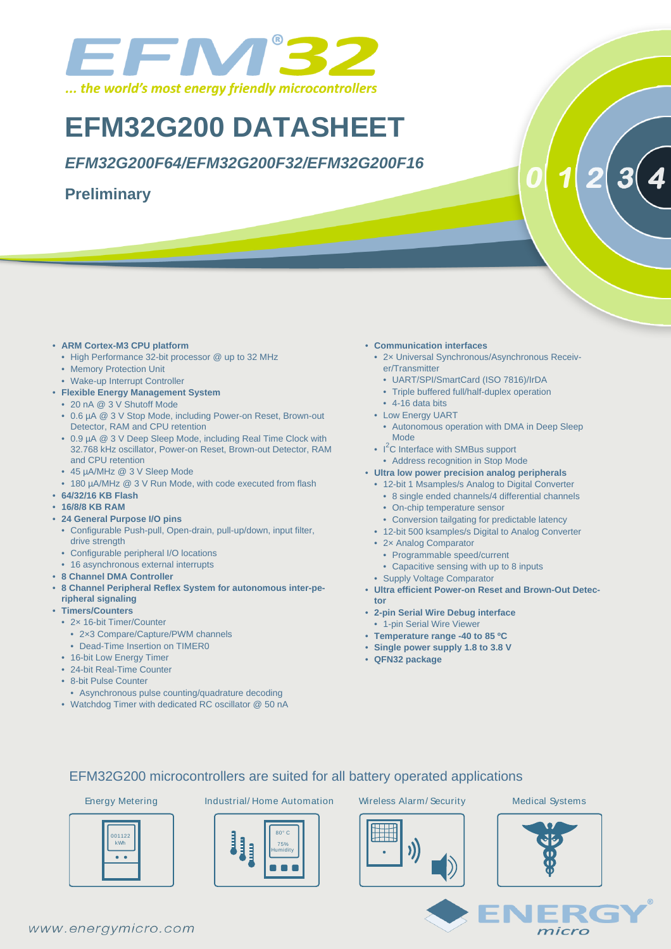

# **EFM32G200 DATASHEET**

**EFM32G200F64/EFM32G200F32/EFM32G200F16**

### **Preliminary**

- **ARM Cortex-M3 CPU platform**
	- High Performance 32-bit processor @ up to 32 MHz
	- Memory Protection Unit
	- Wake-up Interrupt Controller
- **Flexible Energy Management System**
	- 20 nA @ 3 V Shutoff Mode
	- 0.6 µA @ 3 V Stop Mode, including Power-on Reset, Brown-out Detector, RAM and CPU retention
	- 0.9 µA @ 3 V Deep Sleep Mode, including Real Time Clock with 32.768 kHz oscillator, Power-on Reset, Brown-out Detector, RAM and CPU retention
	- 45 µA/MHz @ 3 V Sleep Mode
	- 180 µA/MHz @ 3 V Run Mode, with code executed from flash
- **64/32/16 KB Flash**
- **16/8/8 KB RAM**
- **24 General Purpose I/O pins**
	- Configurable Push-pull, Open-drain, pull-up/down, input filter, drive strength
	- Configurable peripheral I/O locations
	- 16 asynchronous external interrupts
- **8 Channel DMA Controller**
- **8 Channel Peripheral Reflex System for autonomous inter-peripheral signaling**
- **Timers/Counters**
	- 2× 16-bit Timer/Counter
		- 2×3 Compare/Capture/PWM channels
	- Dead-Time Insertion on TIMER0
	- 16-bit Low Energy Timer
	- 24-bit Real-Time Counter
	- 8-bit Pulse Counter
	- Asynchronous pulse counting/quadrature decoding
	- Watchdog Timer with dedicated RC oscillator @ 50 nA
- **Communication interfaces**
	- 2× Universal Synchronous/Asynchronous Receiver/Transmitter
		- UART/SPI/SmartCard (ISO 7816)/IrDA
	- Triple buffered full/half-duplex operation
	- $\cdot$  4-16 data bits
	- Low Energy UART
	- Autonomous operation with DMA in Deep Sleep Mode
	- $\cdot$  I<sup>2</sup>C Interface with SMBus support
	- Address recognition in Stop Mode
- **Ultra low power precision analog peripherals**
	- 12-bit 1 Msamples/s Analog to Digital Converter
		- 8 single ended channels/4 differential channels
		- On-chip temperature sensor
		- Conversion tailgating for predictable latency
	- 12-bit 500 ksamples/s Digital to Analog Converter
- 2× Analog Comparator
- Programmable speed/current
- Capacitive sensing with up to 8 inputs
- Supply Voltage Comparator
- **Ultra efficient Power-on Reset and Brown-Out Detector**
- **2-pin Serial Wire Debug interface**
- 1-pin Serial Wire Viewer
- **Temperature range -40 to 85 ºC**
- **Single power supply 1.8 to 3.8 V**
- **QFN32 package**

#### EFM32G200 microcontrollers are suited for all battery operated applications

| 001122<br>kWh |  |
|---------------|--|
|               |  |

Energy Metering Industrial/ Home Automation Wireless Alarm/ Security Medical Systems





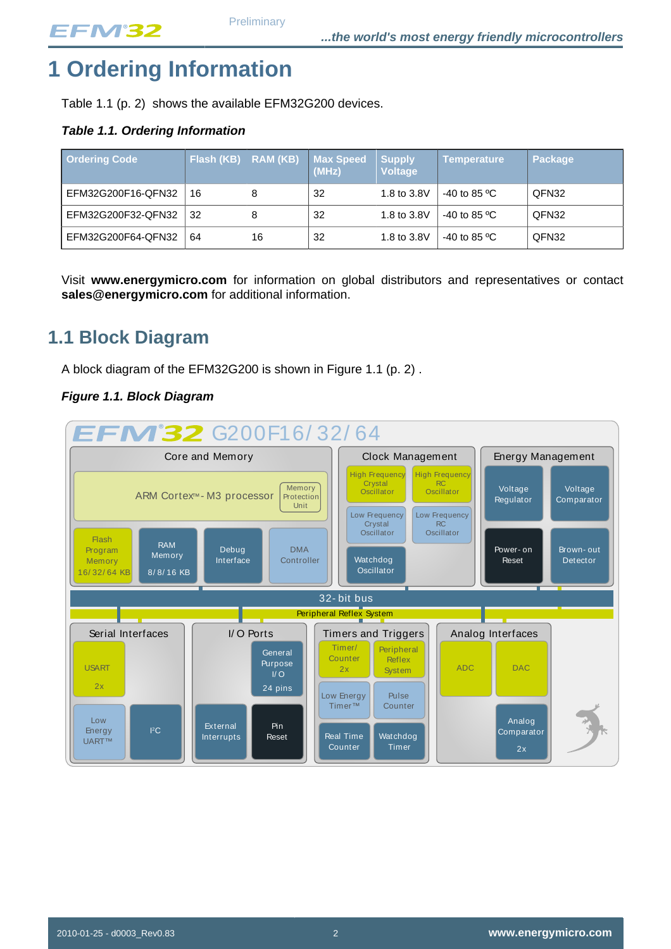# <span id="page-1-2"></span>**1 Ordering Information**

[Table 1.1 \(p. 2\)](#page-1-0) shows the available EFM32G200 devices.

### <span id="page-1-0"></span>**Table 1.1. Ordering Information**

| <b>Ordering Code</b> | Flash (KB) RAM (KB) |    | <b>Max Speed</b><br>(MHz) | <b>Supply</b><br><b>Voltage</b> | <b>Temperature</b>         | <b>Package</b> |
|----------------------|---------------------|----|---------------------------|---------------------------------|----------------------------|----------------|
| EFM32G200F16-QFN32   | 16                  | 8  | 32                        | 1.8 to 3.8V                     | $-40$ to 85 <sup>o</sup> C | QFN32          |
| EFM32G200F32-QFN32   | 32                  | 8  | 32                        | 1.8 to 3.8V                     | $-40$ to 85 <sup>o</sup> C | QFN32          |
| EFM32G200F64-QFN32   | 64                  | 16 | 32                        | 1.8 to 3.8V                     | $-40$ to 85 <sup>o</sup> C | QFN32          |

Visit **www.energymicro.com** for information on global distributors and representatives or contact **sales@energymicro.com** for additional information.

## <span id="page-1-3"></span>**1.1 Block Diagram**

A block diagram of the EFM32G200 is shown in [Figure 1.1 \(p. 2\)](#page-1-1) .

#### <span id="page-1-1"></span>**Figure 1.1. Block Diagram**

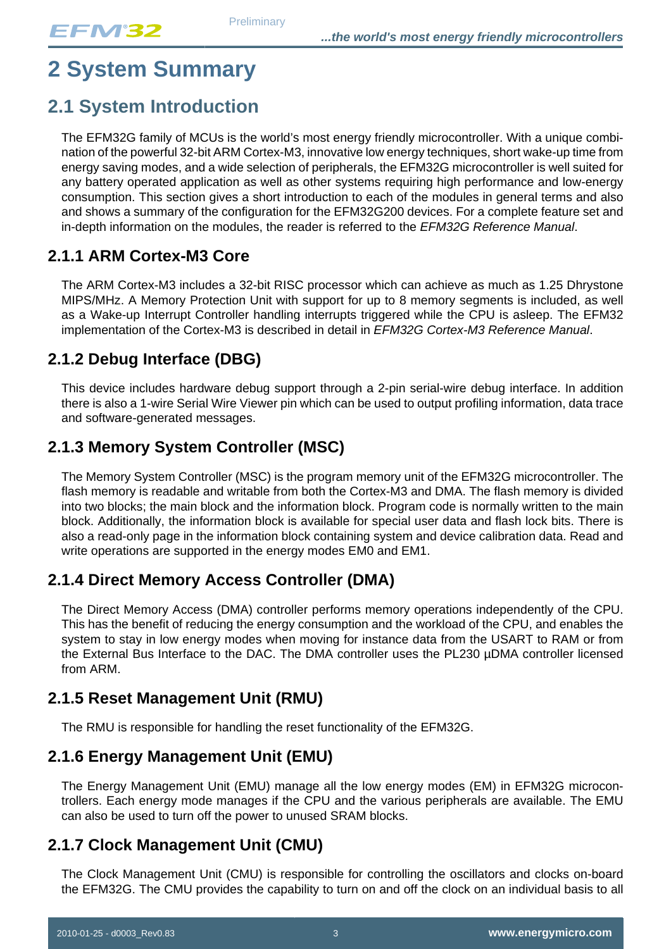# <span id="page-2-0"></span>**2 System Summary**

## <span id="page-2-1"></span>**2.1 System Introduction**

The EFM32G family of MCUs is the world's most energy friendly microcontroller. With a unique combination of the powerful 32-bit ARM Cortex-M3, innovative low energy techniques, short wake-up time from energy saving modes, and a wide selection of peripherals, the EFM32G microcontroller is well suited for any battery operated application as well as other systems requiring high performance and low-energy consumption. This section gives a short introduction to each of the modules in general terms and also and shows a summary of the configuration for the EFM32G200 devices. For a complete feature set and in-depth information on the modules, the reader is referred to the EFM32G Reference Manual.

### **2.1.1 ARM Cortex-M3 Core**

The ARM Cortex-M3 includes a 32-bit RISC processor which can achieve as much as 1.25 Dhrystone MIPS/MHz. A Memory Protection Unit with support for up to 8 memory segments is included, as well as a Wake-up Interrupt Controller handling interrupts triggered while the CPU is asleep. The EFM32 implementation of the Cortex-M3 is described in detail in EFM32G Cortex-M3 Reference Manual.

## **2.1.2 Debug Interface (DBG)**

This device includes hardware debug support through a 2-pin serial-wire debug interface. In addition there is also a 1-wire Serial Wire Viewer pin which can be used to output profiling information, data trace and software-generated messages.

## **2.1.3 Memory System Controller (MSC)**

The Memory System Controller (MSC) is the program memory unit of the EFM32G microcontroller. The flash memory is readable and writable from both the Cortex-M3 and DMA. The flash memory is divided into two blocks; the main block and the information block. Program code is normally written to the main block. Additionally, the information block is available for special user data and flash lock bits. There is also a read-only page in the information block containing system and device calibration data. Read and write operations are supported in the energy modes EM0 and EM1.

## **2.1.4 Direct Memory Access Controller (DMA)**

The Direct Memory Access (DMA) controller performs memory operations independently of the CPU. This has the benefit of reducing the energy consumption and the workload of the CPU, and enables the system to stay in low energy modes when moving for instance data from the USART to RAM or from the External Bus Interface to the DAC. The DMA controller uses the PL230 µDMA controller licensed from ARM.

### **2.1.5 Reset Management Unit (RMU)**

The RMU is responsible for handling the reset functionality of the EFM32G.

## **2.1.6 Energy Management Unit (EMU)**

The Energy Management Unit (EMU) manage all the low energy modes (EM) in EFM32G microcontrollers. Each energy mode manages if the CPU and the various peripherals are available. The EMU can also be used to turn off the power to unused SRAM blocks.

### **2.1.7 Clock Management Unit (CMU)**

The Clock Management Unit (CMU) is responsible for controlling the oscillators and clocks on-board the EFM32G. The CMU provides the capability to turn on and off the clock on an individual basis to all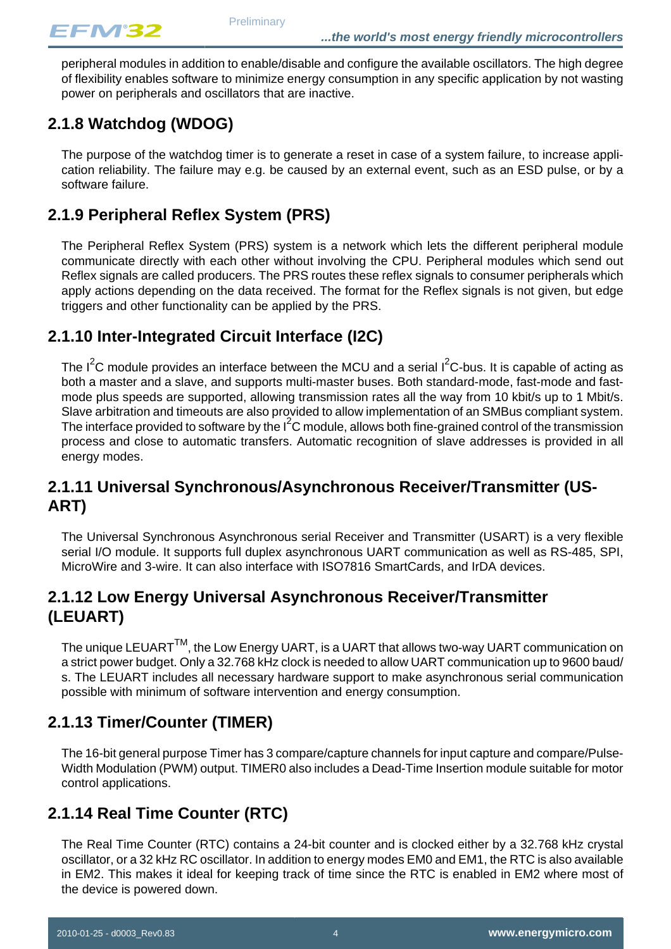peripheral modules in addition to enable/disable and configure the available oscillators. The high degree of flexibility enables software to minimize energy consumption in any specific application by not wasting power on peripherals and oscillators that are inactive.

## **2.1.8 Watchdog (WDOG)**

The purpose of the watchdog timer is to generate a reset in case of a system failure, to increase application reliability. The failure may e.g. be caused by an external event, such as an ESD pulse, or by a software failure.

## **2.1.9 Peripheral Reflex System (PRS)**

The Peripheral Reflex System (PRS) system is a network which lets the different peripheral module communicate directly with each other without involving the CPU. Peripheral modules which send out Reflex signals are called producers. The PRS routes these reflex signals to consumer peripherals which apply actions depending on the data received. The format for the Reflex signals is not given, but edge triggers and other functionality can be applied by the PRS.

### **2.1.10 Inter-Integrated Circuit Interface (I2C)**

The  $I^2C$  module provides an interface between the MCU and a serial  $I^2C$ -bus. It is capable of acting as both a master and a slave, and supports multi-master buses. Both standard-mode, fast-mode and fastmode plus speeds are supported, allowing transmission rates all the way from 10 kbit/s up to 1 Mbit/s. Slave arbitration and timeouts are also provided to allow implementation of an SMBus compliant system. The interface provided to software by the  $I^2C$  module, allows both fine-grained control of the transmission process and close to automatic transfers. Automatic recognition of slave addresses is provided in all energy modes.

### **2.1.11 Universal Synchronous/Asynchronous Receiver/Transmitter (US-ART)**

The Universal Synchronous Asynchronous serial Receiver and Transmitter (USART) is a very flexible serial I/O module. It supports full duplex asynchronous UART communication as well as RS-485, SPI, MicroWire and 3-wire. It can also interface with ISO7816 SmartCards, and IrDA devices.

### **2.1.12 Low Energy Universal Asynchronous Receiver/Transmitter (LEUART)**

The unique LEUART $<sup>TM</sup>$ , the Low Energy UART, is a UART that allows two-way UART communication on</sup> a strict power budget. Only a 32.768 kHz clock is needed to allow UART communication up to 9600 baud/ s. The LEUART includes all necessary hardware support to make asynchronous serial communication possible with minimum of software intervention and energy consumption.

### **2.1.13 Timer/Counter (TIMER)**

The 16-bit general purpose Timer has 3 compare/capture channels for input capture and compare/Pulse-Width Modulation (PWM) output. TIMER0 also includes a Dead-Time Insertion module suitable for motor control applications.

### **2.1.14 Real Time Counter (RTC)**

The Real Time Counter (RTC) contains a 24-bit counter and is clocked either by a 32.768 kHz crystal oscillator, or a 32 kHz RC oscillator. In addition to energy modes EM0 and EM1, the RTC is also available in EM2. This makes it ideal for keeping track of time since the RTC is enabled in EM2 where most of the device is powered down.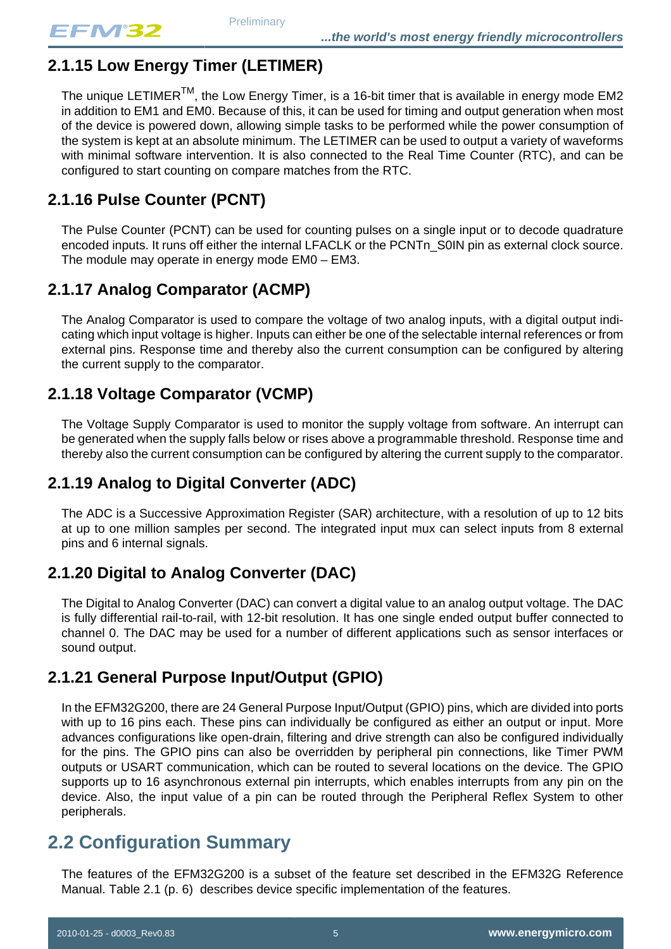## **2.1.15 Low Energy Timer (LETIMER)**

The unique LETIMER<sup>TM</sup>, the Low Energy Timer, is a 16-bit timer that is available in energy mode EM2 in addition to EM1 and EM0. Because of this, it can be used for timing and output generation when most of the device is powered down, allowing simple tasks to be performed while the power consumption of the system is kept at an absolute minimum. The LETIMER can be used to output a variety of waveforms with minimal software intervention. It is also connected to the Real Time Counter (RTC), and can be configured to start counting on compare matches from the RTC.

## **2.1.16 Pulse Counter (PCNT)**

The Pulse Counter (PCNT) can be used for counting pulses on a single input or to decode quadrature encoded inputs. It runs off either the internal LFACLK or the PCNTn\_S0IN pin as external clock source. The module may operate in energy mode EM0 – EM3.

## **2.1.17 Analog Comparator (ACMP)**

The Analog Comparator is used to compare the voltage of two analog inputs, with a digital output indicating which input voltage is higher. Inputs can either be one of the selectable internal references or from external pins. Response time and thereby also the current consumption can be configured by altering the current supply to the comparator.

## **2.1.18 Voltage Comparator (VCMP)**

The Voltage Supply Comparator is used to monitor the supply voltage from software. An interrupt can be generated when the supply falls below or rises above a programmable threshold. Response time and thereby also the current consumption can be configured by altering the current supply to the comparator.

## **2.1.19 Analog to Digital Converter (ADC)**

The ADC is a Successive Approximation Register (SAR) architecture, with a resolution of up to 12 bits at up to one million samples per second. The integrated input mux can select inputs from 8 external pins and 6 internal signals.

## <span id="page-4-0"></span>**2.1.20 Digital to Analog Converter (DAC)**

The Digital to Analog Converter (DAC) can convert a digital value to an analog output voltage. The DAC is fully differential rail-to-rail, with 12-bit resolution. It has one single ended output buffer connected to channel 0. The DAC may be used for a number of different applications such as sensor interfaces or sound output.

## **2.1.21 General Purpose Input/Output (GPIO)**

In the EFM32G200, there are 24 General Purpose Input/Output (GPIO) pins, which are divided into ports with up to 16 pins each. These pins can individually be configured as either an output or input. More advances configurations like open-drain, filtering and drive strength can also be configured individually for the pins. The GPIO pins can also be overridden by peripheral pin connections, like Timer PWM outputs or USART communication, which can be routed to several locations on the device. The GPIO supports up to 16 asynchronous external pin interrupts, which enables interrupts from any pin on the device. Also, the input value of a pin can be routed through the Peripheral Reflex System to other peripherals.

## <span id="page-4-1"></span>**2.2 Configuration Summary**

The features of the EFM32G200 is a subset of the feature set described in the EFM32G Reference Manual. [Table 2.1 \(p. 6\)](#page-5-0) describes device specific implementation of the features.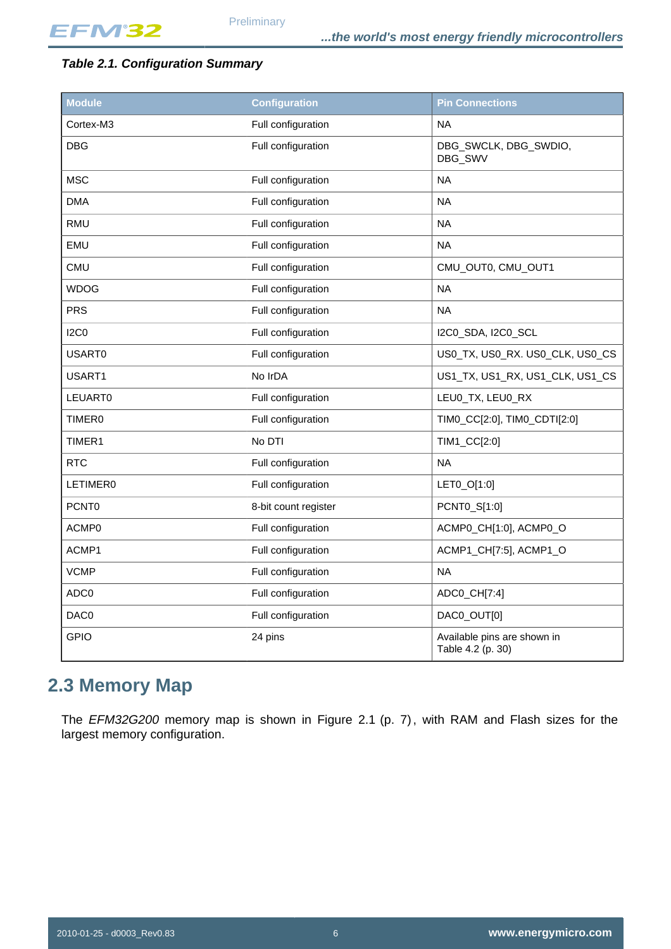#### <span id="page-5-0"></span>**Table 2.1. Configuration Summary**

| <b>Module</b>   | <b>Configuration</b> | <b>Pin Connections</b>                           |
|-----------------|----------------------|--------------------------------------------------|
| Cortex-M3       | Full configuration   | <b>NA</b>                                        |
| <b>DBG</b>      | Full configuration   | DBG_SWCLK, DBG_SWDIO,<br>DBG_SWV                 |
| <b>MSC</b>      | Full configuration   | <b>NA</b>                                        |
| <b>DMA</b>      | Full configuration   | <b>NA</b>                                        |
| <b>RMU</b>      | Full configuration   | <b>NA</b>                                        |
| EMU             | Full configuration   | <b>NA</b>                                        |
| <b>CMU</b>      | Full configuration   | CMU_OUT0, CMU_OUT1                               |
| <b>WDOG</b>     | Full configuration   | <b>NA</b>                                        |
| <b>PRS</b>      | Full configuration   | <b>NA</b>                                        |
| <b>I2C0</b>     | Full configuration   | I2C0_SDA, I2C0_SCL                               |
| USART0          | Full configuration   | US0_TX, US0_RX. US0_CLK, US0_CS                  |
| USART1          | No IrDA              | US1_TX, US1_RX, US1_CLK, US1_CS                  |
| <b>LEUART0</b>  | Full configuration   | LEU0_TX, LEU0_RX                                 |
| <b>TIMER0</b>   | Full configuration   | TIM0_CC[2:0], TIM0_CDTI[2:0]                     |
| TIMER1          | No DTI               | TIM1_CC[2:0]                                     |
| <b>RTC</b>      | Full configuration   | <b>NA</b>                                        |
| <b>LETIMER0</b> | Full configuration   | LET0_O[1:0]                                      |
| PCNT0           | 8-bit count register | PCNT0_S[1:0]                                     |
| ACMP0           | Full configuration   | ACMP0_CH[1:0], ACMP0_O                           |
| ACMP1           | Full configuration   | ACMP1_CH[7:5], ACMP1_O                           |
| <b>VCMP</b>     | Full configuration   | <b>NA</b>                                        |
| ADC0            | Full configuration   | ADC0_CH[7:4]                                     |
| DAC0            | Full configuration   | DAC0_OUT[0]                                      |
| <b>GPIO</b>     | 24 pins              | Available pins are shown in<br>Table 4.2 (p. 30) |

## <span id="page-5-1"></span>**2.3 Memory Map**

The EFM32G200 memory map is shown in Figure 2.1 (p. 7), with RAM and Flash sizes for the largest memory configuration.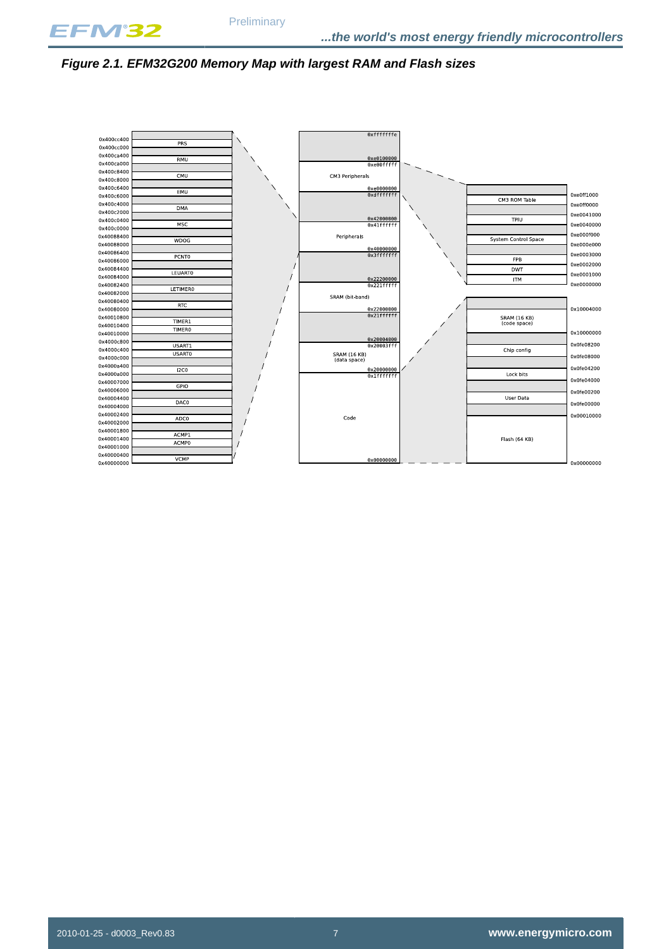

#### <span id="page-6-0"></span>**Figure 2.1. EFM32G200 Memory Map with largest RAM and Flash sizes**

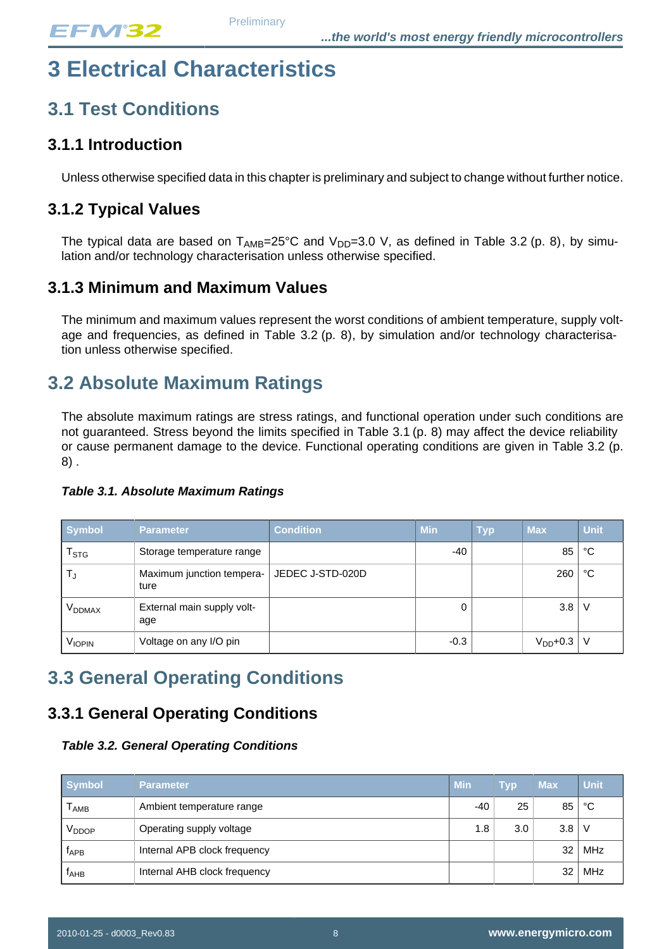# <span id="page-7-4"></span>**3 Electrical Characteristics**

## <span id="page-7-2"></span>**3.1 Test Conditions**

### **3.1.1 Introduction**

Unless otherwise specified data in this chapter is preliminary and subject to change without further notice.

### **3.1.2 Typical Values**

The typical data are based on  $T_{AMB}=25^{\circ}$ C and  $V_{DD}=3.0$  V, as defined in Table 3.2 (p. 8), by simulation and/or technology characterisation unless otherwise specified.

### **3.1.3 Minimum and Maximum Values**

The minimum and maximum values represent the worst conditions of ambient temperature, supply voltage and frequencies, as defined in Table  $3.2$  (p. 8), by simulation and/or technology characterisation unless otherwise specified.

## <span id="page-7-3"></span>**3.2 Absolute Maximum Ratings**

The absolute maximum ratings are stress ratings, and functional operation under such conditions are not guaranteed. Stress beyond the limits specified in [Table 3.1 \(p. 8\)](#page-7-1) may affect the device reliability or cause permanent damage to the device. Functional operating conditions are given in [Table 3.2 \(p.](#page-7-0) [8\)](#page-7-0) .

<span id="page-7-1"></span>**Table 3.1. Absolute Maximum Ratings**

| <b>Symbol</b>             | <b>Parameter</b>                  | <b>Condition</b> | <b>Min</b> | <b>Typ</b> | <b>Max</b>    | <b>Unit</b> |
|---------------------------|-----------------------------------|------------------|------------|------------|---------------|-------------|
| $\mathsf{T}_{\text{STG}}$ | Storage temperature range         |                  | $-40$      |            | 85            | °C          |
| Т.,                       | Maximum junction tempera-<br>ture | JEDEC J-STD-020D |            |            | 260           | ℃           |
| V <sub>DDMAX</sub>        | External main supply volt-<br>age |                  |            |            | 3.8           | - V         |
| VIOPIN                    | Voltage on any I/O pin            |                  | $-0.3$     |            | $V_{DD}$ +0.3 |             |

## <span id="page-7-5"></span>**3.3 General Operating Conditions**

## <span id="page-7-0"></span>**3.3.1 General Operating Conditions**

#### **Table 3.2. General Operating Conditions**

| <b>Symbol</b>     | <b>Parameter</b>             | <b>Min</b> | <b>Typ</b> | <b>Max</b> | <b>Unit</b> |
|-------------------|------------------------------|------------|------------|------------|-------------|
| l AMB             | Ambient temperature range    | -40        | 25         | 85         | °C          |
| V <sub>DDOP</sub> | Operating supply voltage     | 1.8        | 3.0        | 3.8        | -V          |
| ĪдPB              | Internal APB clock frequency |            |            | 32         | MHz         |
| ІАНВ              | Internal AHB clock frequency |            |            | 32         | MHz         |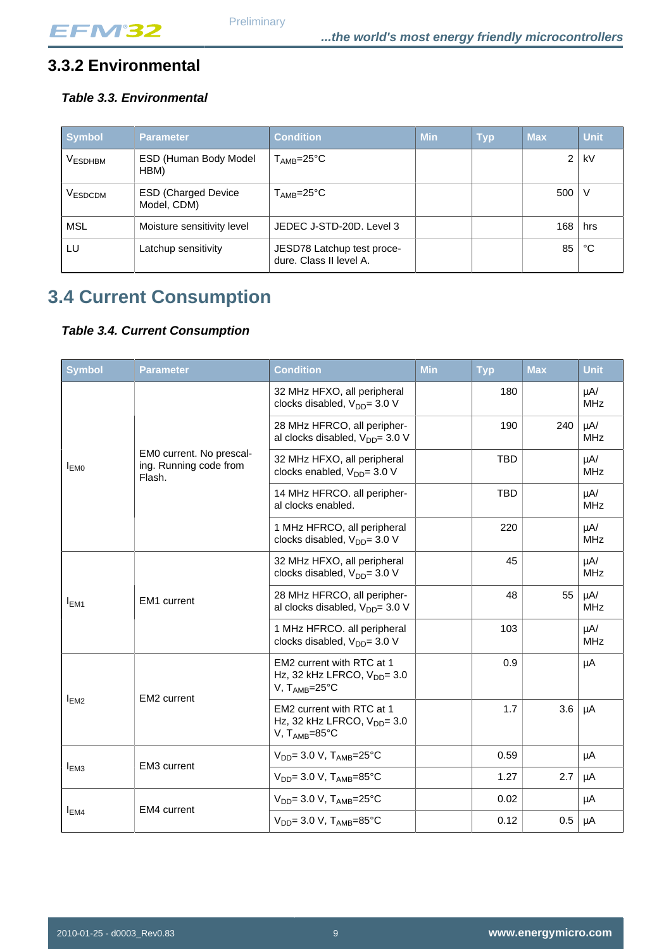## **3.3.2 Environmental**

### <span id="page-8-1"></span>**Table 3.3. Environmental**

| <b>Symbol</b>  | <b>Parameter</b>                          | <b>Condition</b>                                      | <b>Min</b> | <b>Typ</b> | <b>Max</b>     | <b>Unit</b> |
|----------------|-------------------------------------------|-------------------------------------------------------|------------|------------|----------------|-------------|
| <b>VESDHBM</b> | ESD (Human Body Model<br>HBM)             | ${\sf T}_{\sf AMB}$ =25°C                             |            |            | $\overline{2}$ | kV          |
| VESDCDM        | <b>ESD (Charged Device</b><br>Model, CDM) | $T_{\sf AMB} = 25^{\circ}C$                           |            |            | 500            | V           |
| MSL            | Moisture sensitivity level                | JEDEC J-STD-20D. Level 3                              |            |            | 168            | hrs         |
| LU             | Latchup sensitivity                       | JESD78 Latchup test proce-<br>dure. Class II level A. |            |            | 85             | °C          |

## <span id="page-8-0"></span>**3.4 Current Consumption**

#### <span id="page-8-2"></span>**Table 3.4. Current Consumption**

| <b>Symbol</b>    | <b>Parameter</b>                                             | <b>Condition</b>                                                                                   | <b>Min</b> | <b>Typ</b> | <b>Max</b> | <b>Unit</b>            |
|------------------|--------------------------------------------------------------|----------------------------------------------------------------------------------------------------|------------|------------|------------|------------------------|
|                  |                                                              | 32 MHz HFXO, all peripheral<br>clocks disabled, V <sub>DD</sub> = 3.0 V                            |            | 180        |            | $\mu$ A/<br><b>MHz</b> |
|                  |                                                              | 28 MHz HFRCO, all peripher-<br>al clocks disabled, V <sub>DD</sub> = 3.0 V                         |            | 190        | 240        | $\mu$ A/<br><b>MHz</b> |
| I <sub>EM0</sub> | EM0 current. No prescal-<br>ing. Running code from<br>Flash. | 32 MHz HFXO, all peripheral<br>clocks enabled, V <sub>DD</sub> = 3.0 V                             |            | <b>TBD</b> |            | $\mu$ A/<br><b>MHz</b> |
|                  |                                                              | 14 MHz HFRCO. all peripher-<br>al clocks enabled.                                                  |            | <b>TBD</b> |            | $\mu$ A/<br><b>MHz</b> |
|                  |                                                              | 1 MHz HFRCO, all peripheral<br>clocks disabled, $V_{DD} = 3.0 V$                                   |            | 220        |            | $\mu$ A/<br><b>MHz</b> |
|                  | <b>EM1</b> current                                           | 32 MHz HFXO, all peripheral<br>clocks disabled, V <sub>DD</sub> = 3.0 V                            |            | 45         |            | $\mu$ A/<br><b>MHz</b> |
| $I_{EM1}$        |                                                              | 28 MHz HFRCO, all peripher-<br>al clocks disabled, $V_{DD} = 3.0 V$                                |            | 48         | 55         | $\mu$ A/<br><b>MHz</b> |
|                  |                                                              | 1 MHz HFRCO. all peripheral<br>clocks disabled, V <sub>DD</sub> = 3.0 V                            |            | 103        |            | $\mu$ A/<br><b>MHz</b> |
|                  | EM2 current                                                  | EM2 current with RTC at 1<br>Hz, 32 kHz LFRCO, $V_{DD} = 3.0$<br>V, $T_{\text{AMB}} = 25^{\circ}C$ |            | 0.9        |            | μA                     |
| I <sub>EM2</sub> |                                                              | EM2 current with RTC at 1<br>Hz, 32 kHz LFRCO, $V_{DD} = 3.0$<br>V, $T_{AMB} = 85^{\circ}C$        |            | 1.7        | 3.6        | μA                     |
|                  | EM3 current                                                  | $V_{DD}$ = 3.0 V, T <sub>AMB</sub> =25°C                                                           |            | 0.59       |            | μA                     |
| I <sub>EM3</sub> |                                                              | $V_{DD} = 3.0 V$ , $T_{AMB} = 85°C$                                                                |            | 1.27       | 2.7        | μA                     |
|                  |                                                              | $V_{DD}$ = 3.0 V, T <sub>AMB</sub> =25°C                                                           |            | 0.02       |            | μA                     |
| I <sub>EM4</sub> | <b>EM4</b> current                                           | $V_{DD} = 3.0 V$ , $T_{AMB} = 85°C$                                                                |            | 0.12       | 0.5        | μA                     |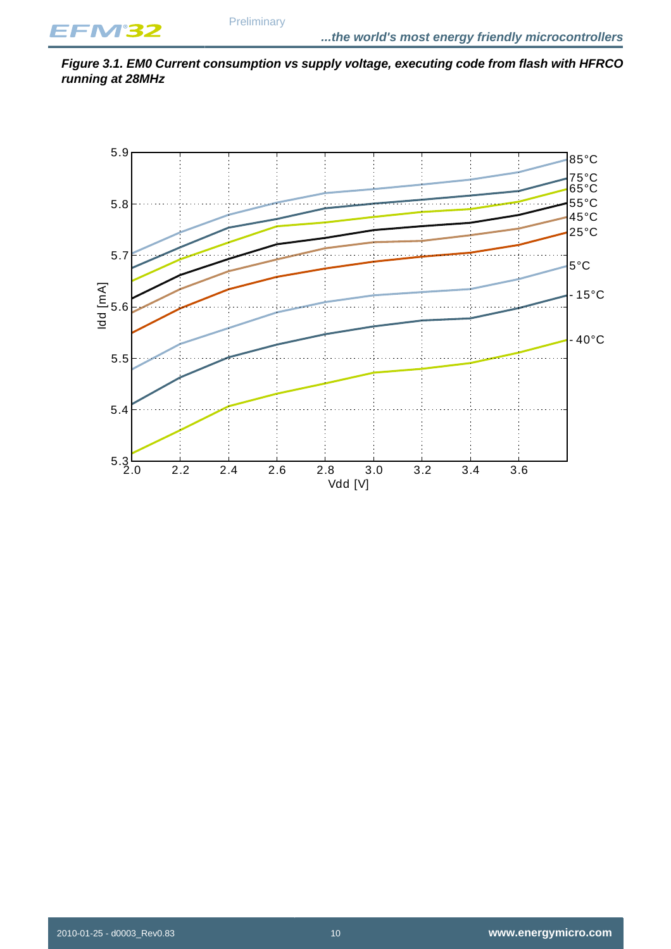<span id="page-9-0"></span>

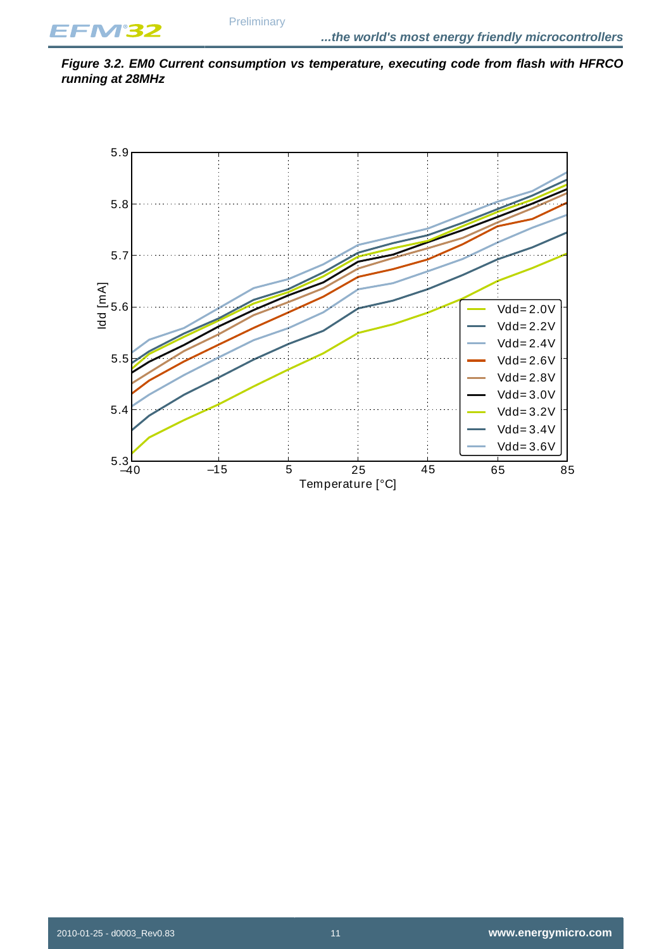<span id="page-10-0"></span>**Figure 3.2. EM0 Current consumption vs temperature, executing code from flash with HFRCO running at 28MHz**

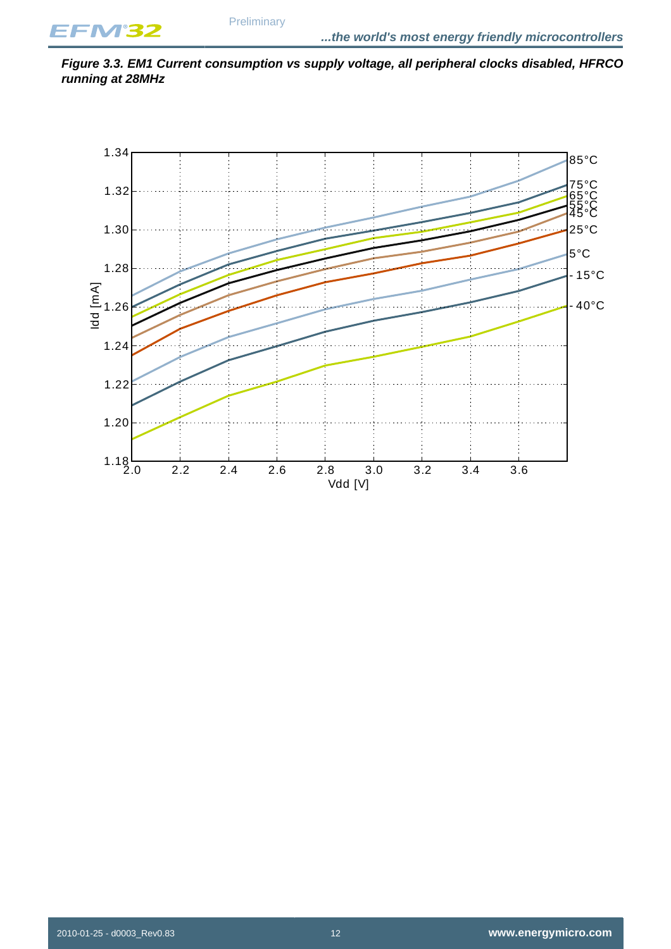<span id="page-11-0"></span>**Figure 3.3. EM1 Current consumption vs supply voltage, all peripheral clocks disabled, HFRCO running at 28MHz**

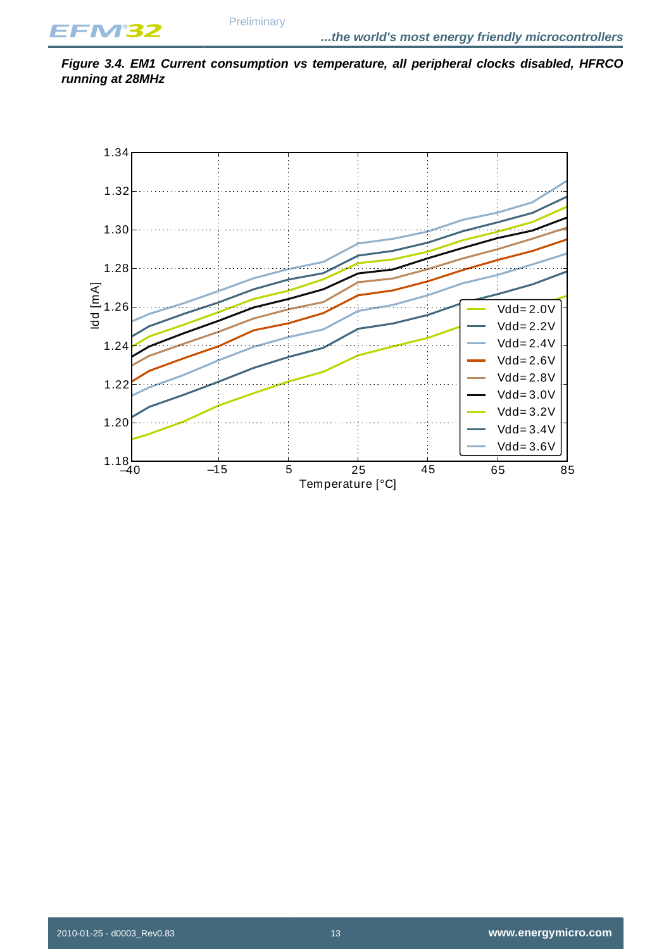<span id="page-12-0"></span>**Figure 3.4. EM1 Current consumption vs temperature, all peripheral clocks disabled, HFRCO running at 28MHz**

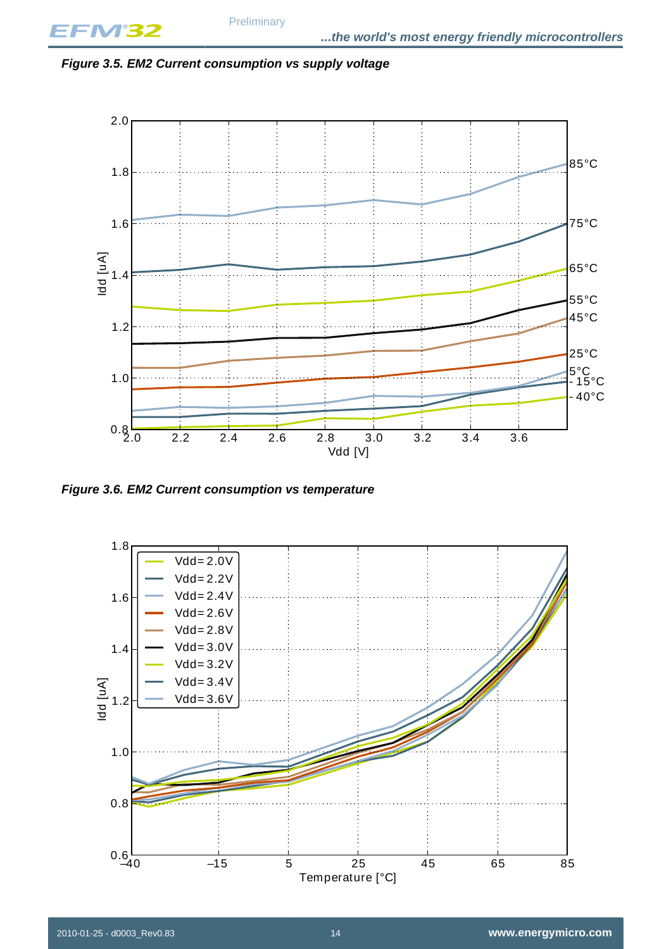<span id="page-13-0"></span>



<span id="page-13-1"></span>**Figure 3.6. EM2 Current consumption vs temperature**

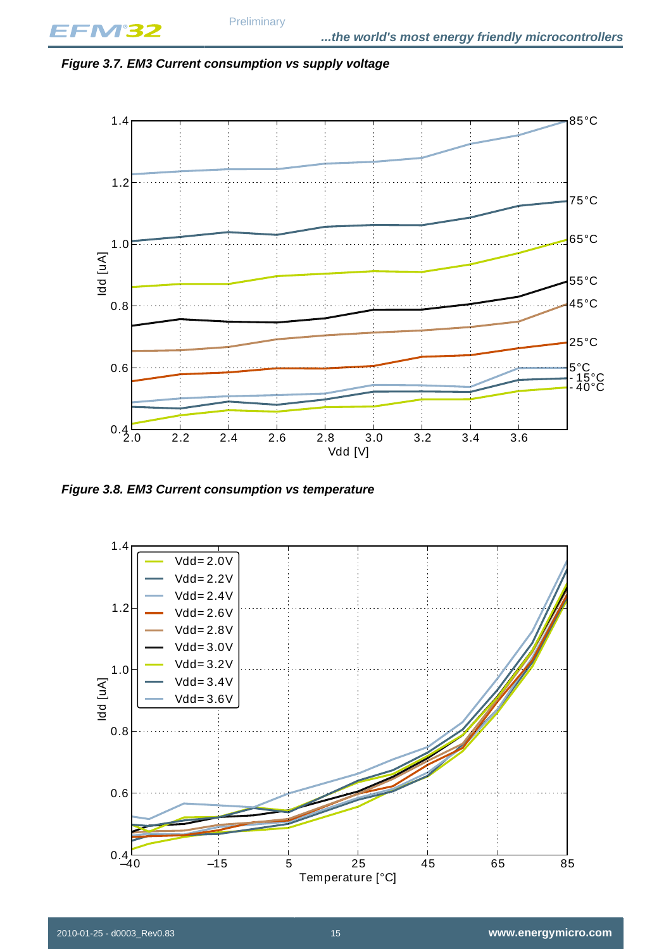<span id="page-14-0"></span>



<span id="page-14-1"></span>**Figure 3.8. EM3 Current consumption vs temperature**

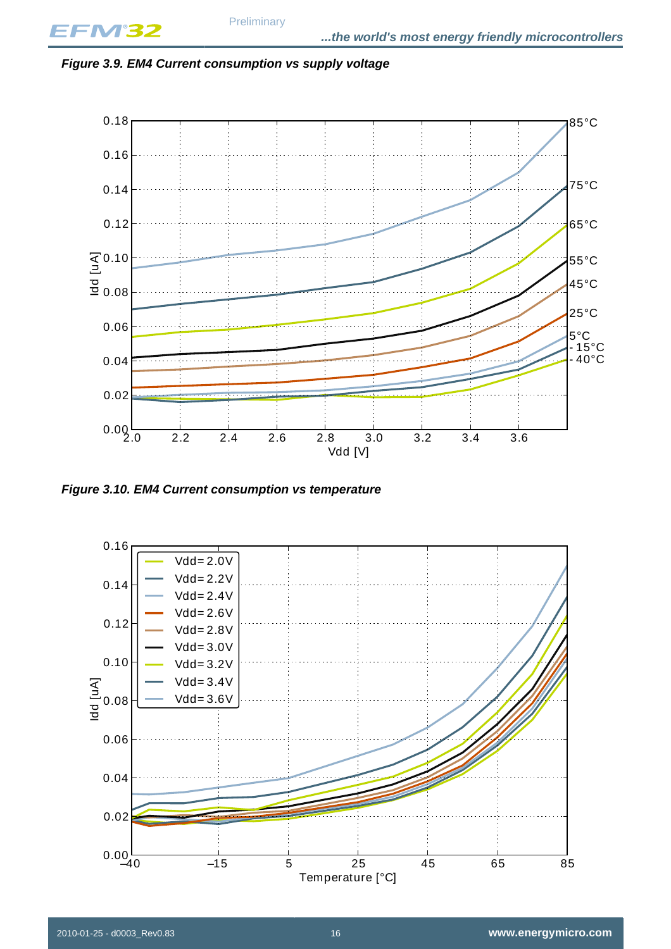<span id="page-15-0"></span>**Figure 3.9. EM4 Current consumption vs supply voltage**



<span id="page-15-1"></span>**Figure 3.10. EM4 Current consumption vs temperature**

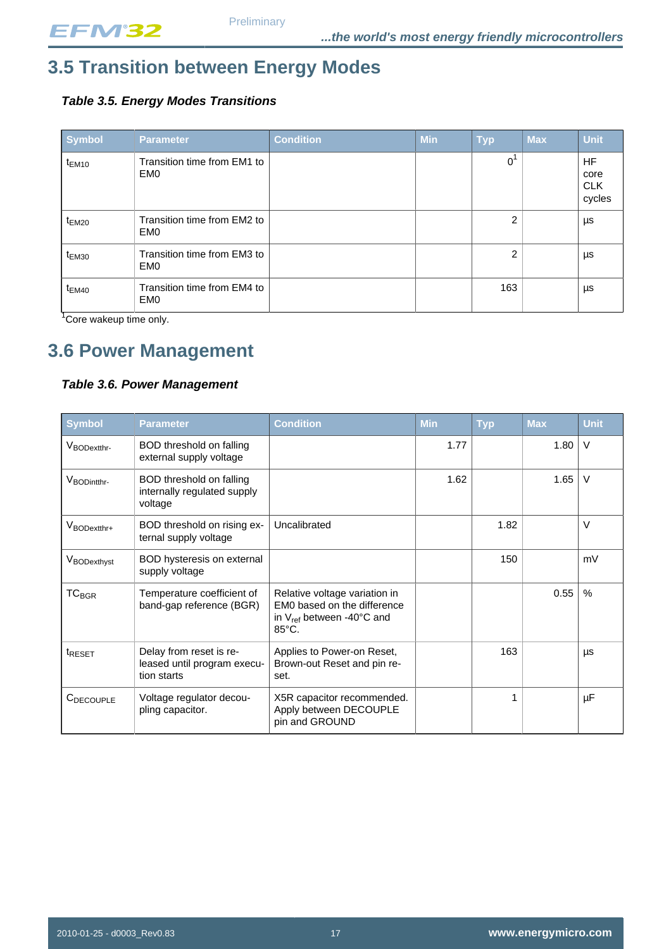## <span id="page-16-1"></span>**3.5 Transition between Energy Modes**

#### <span id="page-16-2"></span>**Table 3.5. Energy Modes Transitions**

| <b>Symbol</b>     | <b>Parameter</b>                               | <b>Condition</b> | <b>Min</b> | <b>Typ</b>     | <b>Max</b> | <b>Unit</b>                               |
|-------------------|------------------------------------------------|------------------|------------|----------------|------------|-------------------------------------------|
| $t_{EM10}$        | Transition time from EM1 to<br>EM <sub>0</sub> |                  |            | 0 <sup>1</sup> |            | <b>HF</b><br>core<br><b>CLK</b><br>cycles |
| $t_{EM20}$        | Transition time from EM2 to<br>EM <sub>0</sub> |                  |            | 2              |            | μs                                        |
| t <sub>EM30</sub> | Transition time from EM3 to<br>EM <sub>0</sub> |                  |            | 2              |            | μs                                        |
| $t_{EM40}$        | Transition time from EM4 to<br>EM <sub>0</sub> |                  |            | 163            |            | μs                                        |

<sup>1</sup>Core wakeup time only.

## <span id="page-16-0"></span>**3.6 Power Management**

#### <span id="page-16-3"></span>**Table 3.6. Power Management**

| <b>Symbol</b>           | <b>Parameter</b>                                                      | <b>Condition</b>                                                                                                             | <b>Min</b> | <b>Typ</b> | <b>Max</b> | <b>Unit</b> |
|-------------------------|-----------------------------------------------------------------------|------------------------------------------------------------------------------------------------------------------------------|------------|------------|------------|-------------|
| V <sub>BODextthr-</sub> | BOD threshold on falling<br>external supply voltage                   |                                                                                                                              | 1.77       |            | 1.80       | $\vee$      |
| V <sub>BODintthr-</sub> | BOD threshold on falling<br>internally regulated supply<br>voltage    |                                                                                                                              | 1.62       |            | 1.65       | $\vee$      |
| VBODextthr+             | BOD threshold on rising ex-<br>ternal supply voltage                  | Uncalibrated                                                                                                                 |            | 1.82       |            | $\vee$      |
| VBODexthyst             | BOD hysteresis on external<br>supply voltage                          |                                                                                                                              |            | 150        |            | mV          |
| $TC_{BGR}$              | Temperature coefficient of<br>band-gap reference (BGR)                | Relative voltage variation in<br>EM0 based on the difference<br>in $V_{ref}$ between -40 $^{\circ}$ C and<br>$85^{\circ}$ C. |            |            | 0.55       | $\%$        |
| t <sub>RESET</sub>      | Delay from reset is re-<br>leased until program execu-<br>tion starts | Applies to Power-on Reset,<br>Brown-out Reset and pin re-<br>set.                                                            |            | 163        |            | μs          |
| C <sub>DECOUPLE</sub>   | Voltage regulator decou-<br>pling capacitor.                          | X5R capacitor recommended.<br>Apply between DECOUPLE<br>pin and GROUND                                                       |            | 1          |            | μF          |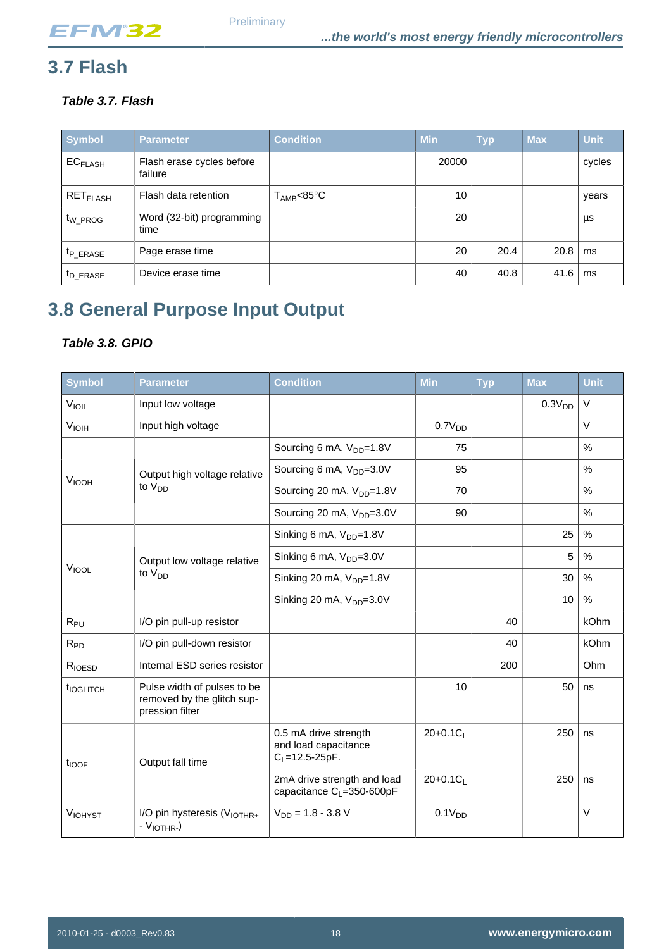## <span id="page-17-0"></span>**3.7 Flash**

<span id="page-17-2"></span>**Table 3.7. Flash**

| Symbol                          | <b>Parameter</b>                     | <b>Condition</b>    | <b>Min</b> | <b>Typ</b> | <b>Max</b> | <b>Unit</b> |
|---------------------------------|--------------------------------------|---------------------|------------|------------|------------|-------------|
| <b>EC<sub>FLASH</sub></b>       | Flash erase cycles before<br>failure |                     | 20000      |            |            | cycles      |
| $\mathsf{RET}_{\mathsf{FLASH}}$ | Flash data retention                 | $T_{\sf AMB}$ <85°C | 10         |            |            | years       |
| t <sub>W</sub> PROG             | Word (32-bit) programming<br>time    |                     | 20         |            |            | μs          |
| <sup>t</sup> P ERASE            | Page erase time                      |                     | 20         | 20.4       | 20.8       | ms          |
| <sup>t</sup> D_ERASE            | Device erase time                    |                     | 40         | 40.8       | 41.6       | ms          |

## <span id="page-17-1"></span>**3.8 General Purpose Input Output**

#### <span id="page-17-3"></span>**Table 3.8. GPIO**

| Symbol                | <b>Parameter</b>                                                             | <b>Condition</b>                                                       | Min                | <b>Typ</b> | Max                | <b>Unit</b> |
|-----------------------|------------------------------------------------------------------------------|------------------------------------------------------------------------|--------------------|------------|--------------------|-------------|
| $V_{I OIL}$           | Input low voltage                                                            |                                                                        |                    |            | 0.3V <sub>DD</sub> | $\vee$      |
| V <sub>IOH</sub>      | Input high voltage                                                           |                                                                        | 0.7V <sub>DD</sub> |            |                    | $\vee$      |
|                       |                                                                              | Sourcing 6 mA, V <sub>DD</sub> =1.8V                                   | 75                 |            |                    | %           |
|                       | Output high voltage relative                                                 | Sourcing 6 mA, V <sub>DD</sub> =3.0V                                   | 95                 |            |                    | $\%$        |
| <b>VIOOH</b>          | to V <sub>DD</sub>                                                           | Sourcing 20 mA, V <sub>DD</sub> =1.8V                                  | 70                 |            |                    | %           |
|                       |                                                                              | Sourcing 20 mA, V <sub>DD</sub> =3.0V                                  | 90                 |            |                    | %           |
|                       |                                                                              | Sinking 6 mA, V <sub>DD</sub> =1.8V                                    |                    |            | 25                 | %           |
|                       | Output low voltage relative                                                  | Sinking 6 mA, V <sub>DD</sub> =3.0V                                    |                    |            | 5                  | %           |
| V <sub>IOOL</sub>     | to $V_{DD}$                                                                  | Sinking 20 mA, V <sub>DD</sub> =1.8V                                   |                    |            | 30                 | $\%$        |
|                       |                                                                              | Sinking 20 mA, V <sub>DD</sub> =3.0V                                   |                    |            | 10                 | $\%$        |
| $R_{PU}$              | I/O pin pull-up resistor                                                     |                                                                        |                    | 40         |                    | kOhm        |
| $R_{PD}$              | I/O pin pull-down resistor                                                   |                                                                        |                    | 40         |                    | kOhm        |
| RIOESD                | Internal ESD series resistor                                                 |                                                                        |                    | 200        |                    | Ohm         |
| t <sub>IOGLITCH</sub> | Pulse width of pulses to be<br>removed by the glitch sup-<br>pression filter |                                                                        | 10                 |            | 50                 | ns          |
| t <sub>IOOF</sub>     | Output fall time                                                             | 0.5 mA drive strength<br>and load capacitance<br>$C_L = 12.5 - 25pF$ . | $20+0.1C_1$        |            | 250                | ns          |
|                       |                                                                              | 2mA drive strength and load<br>capacitance $C_1 = 350 - 600pF$         | $20+0.1C_1$        |            | 250                | ns          |
| <b>VIOHYST</b>        | I/O pin hysteresis (V <sub>IOTHR+</sub><br>$-V_{IOTHR}$ .)                   | $V_{DD} = 1.8 - 3.8$ V                                                 | 0.1V <sub>DD</sub> |            |                    | $\vee$      |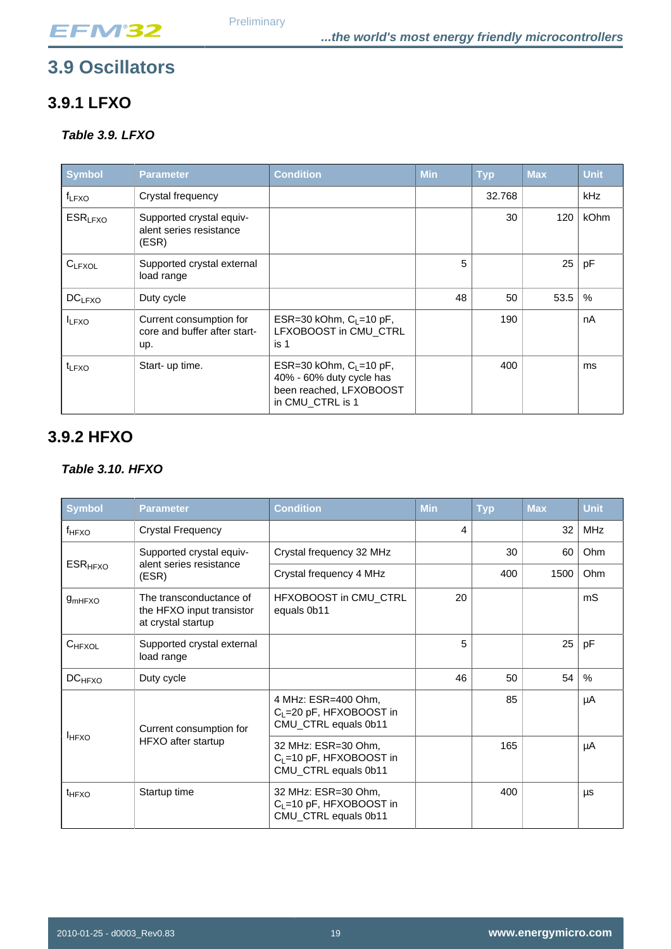## <span id="page-18-0"></span>**3.9 Oscillators**

## **3.9.1 LFXO**

### <span id="page-18-1"></span>**Table 3.9. LFXO**

| <b>Symbol</b>         | <b>Parameter</b>                                               | <b>Condition</b>                                                                                      | <b>Min</b> | <b>Typ</b> | <b>Max</b> | <b>Unit</b> |
|-----------------------|----------------------------------------------------------------|-------------------------------------------------------------------------------------------------------|------------|------------|------------|-------------|
| $f_{LFXO}$            | Crystal frequency                                              |                                                                                                       |            | 32.768     |            | <b>kHz</b>  |
| $ESR$ <sub>LFXO</sub> | Supported crystal equiv-<br>alent series resistance<br>(ESR)   |                                                                                                       |            | 30         | 120        | <b>kOhm</b> |
| $C_{LFXOL}$           | Supported crystal external<br>load range                       |                                                                                                       | 5          |            | 25         | pF          |
| $DC_{LFXO}$           | Duty cycle                                                     |                                                                                                       | 48         | 50         | 53.5       | %           |
| <b>ILFXO</b>          | Current consumption for<br>core and buffer after start-<br>up. | ESR=30 kOhm, $C_1$ =10 pF,<br>LFXOBOOST in CMU_CTRL<br>is 1                                           |            | 190        |            | nA          |
| t <sub>LFXO</sub>     | Start- up time.                                                | ESR=30 kOhm, $C_L$ =10 pF,<br>40% - 60% duty cycle has<br>been reached, LFXOBOOST<br>in CMU_CTRL is 1 |            | 400        |            | ms          |

## **3.9.2 HFXO**

#### <span id="page-18-2"></span>**Table 3.10. HFXO**

| <b>Symbol</b>             | <b>Parameter</b>                                                           | <b>Condition</b>                                                                   | <b>Min</b> | <b>Typ</b> | <b>Max</b> | <b>Unit</b> |
|---------------------------|----------------------------------------------------------------------------|------------------------------------------------------------------------------------|------------|------------|------------|-------------|
| f <sub>HFXO</sub>         | <b>Crystal Frequency</b>                                                   |                                                                                    | 4          |            | 32         | <b>MHz</b>  |
| <b>ESR<sub>HFXO</sub></b> | Supported crystal equiv-                                                   | Crystal frequency 32 MHz                                                           |            | 30         | 60         | Ohm         |
|                           | alent series resistance<br>(ESR)                                           | Crystal frequency 4 MHz                                                            |            | 400        | 1500       | Ohm         |
| g <sub>mHFXO</sub>        | The transconductance of<br>the HFXO input transistor<br>at crystal startup | HFXOBOOST in CMU_CTRL<br>equals 0b11                                               | 20         |            |            | mS          |
| $C_{HFXOL}$               | Supported crystal external<br>load range                                   |                                                                                    | 5          |            | 25         | pF          |
| $DC_{HFXO}$               | Duty cycle                                                                 |                                                                                    | 46         | 50         | 54         | %           |
|                           | Current consumption for<br>HFXO after startup                              | 4 MHz: ESR=400 Ohm,<br>C <sub>L</sub> =20 pF, HFXOBOOST in<br>CMU_CTRL equals 0b11 |            | 85         |            | μA          |
| <b>HFXO</b>               |                                                                            | 32 MHz: ESR=30 Ohm,<br>$C_L = 10$ pF, HFXOBOOST in<br>CMU_CTRL equals 0b11         |            | 165        |            | μA          |
| t <sub>HFXO</sub>         | Startup time                                                               | 32 MHz: ESR=30 Ohm,<br>$C_L = 10$ pF, HFXOBOOST in<br>CMU_CTRL equals 0b11         |            | 400        |            | μs          |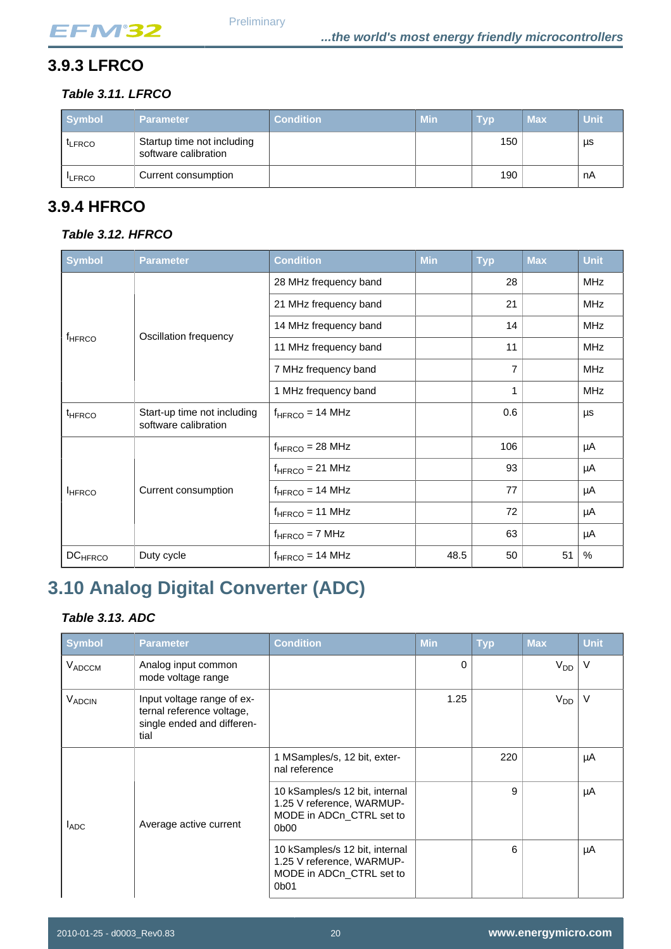## **3.9.3 LFRCO**

### <span id="page-19-1"></span>**Table 3.11. LFRCO**

| <b>Symbol</b> | <b>Parameter</b>                                   | <b>Condition</b> | Min. | <b>Typ</b> | <b>Max</b> | <b>Unit</b> |
|---------------|----------------------------------------------------|------------------|------|------------|------------|-------------|
| <b>LERCO</b>  | Startup time not including<br>software calibration |                  |      | 150        |            | μs          |
| <b>ILFRCO</b> | Current consumption                                |                  |      | 190        |            | nA          |

## **3.9.4 HFRCO**

#### <span id="page-19-2"></span>**Table 3.12. HFRCO**

| <b>Symbol</b>             | <b>Parameter</b>                                    | <b>Condition</b>      | <b>Min</b> | <b>Typ</b>     | <b>Max</b> | <b>Unit</b> |
|---------------------------|-----------------------------------------------------|-----------------------|------------|----------------|------------|-------------|
|                           |                                                     | 28 MHz frequency band |            | 28             |            | <b>MHz</b>  |
|                           |                                                     | 21 MHz frequency band |            | 21             |            | <b>MHz</b>  |
|                           |                                                     | 14 MHz frequency band |            | 14             |            | <b>MHz</b>  |
| f <sub>HFRCO</sub>        | Oscillation frequency                               | 11 MHz frequency band |            | 11             |            | <b>MHz</b>  |
|                           |                                                     | 7 MHz frequency band  |            | $\overline{7}$ |            | <b>MHz</b>  |
|                           |                                                     | 1 MHz frequency band  |            | 1              |            | <b>MHz</b>  |
| <sup>t</sup> HFRCO        | Start-up time not including<br>software calibration | $f_{HFRCO}$ = 14 MHz  |            | 0.6            |            | μs          |
|                           |                                                     | $f_{HFRCO}$ = 28 MHz  |            | 106            |            | μA          |
|                           |                                                     | $f_{HFRCO} = 21$ MHz  |            | 93             |            | μA          |
| <b>IHFRCO</b>             | Current consumption                                 | $f_{HFRCO}$ = 14 MHz  |            | 77             |            | μA          |
|                           |                                                     | $f_{HFRCO} = 11 MHz$  |            | 72             |            | μA          |
|                           |                                                     | $f_{HFRCO} = 7 MHz$   |            | 63             |            | μA          |
| <b>DC<sub>HFRCO</sub></b> | Duty cycle                                          | $f_{HFRCO} = 14 MHz$  | 48.5       | 50             | 51         | %           |

## <span id="page-19-0"></span>**3.10 Analog Digital Converter (ADC)**

### <span id="page-19-3"></span>**Table 3.13. ADC**

| Symbol        | <b>Parameter</b>                                                                              | <b>Condition</b>                                                                                                         | <b>Min</b> | <b>Typ</b> | <b>Max</b>            | <b>Unit</b> |
|---------------|-----------------------------------------------------------------------------------------------|--------------------------------------------------------------------------------------------------------------------------|------------|------------|-----------------------|-------------|
| VADCCM        | Analog input common<br>mode voltage range                                                     |                                                                                                                          | $\Omega$   |            | <b>V<sub>DD</sub></b> | $\vee$      |
| <b>VADCIN</b> | Input voltage range of ex-<br>ternal reference voltage,<br>single ended and differen-<br>tial |                                                                                                                          | 1.25       |            | V <sub>DD</sub>       | $\vee$      |
| <b>LADC</b>   | Average active current                                                                        | 1 MSamples/s, 12 bit, exter-<br>nal reference                                                                            |            | 220        |                       | μA          |
|               |                                                                                               | 10 kSamples/s 12 bit, internal<br>1.25 V reference, WARMUP-<br>MODE in ADCn_CTRL set to<br>0 <sub>b</sub> 0 <sub>0</sub> |            | 9          |                       | μA          |
|               |                                                                                               | 10 kSamples/s 12 bit, internal<br>1.25 V reference, WARMUP-<br>MODE in ADCn CTRL set to<br>0b01                          |            | 6          |                       | μA          |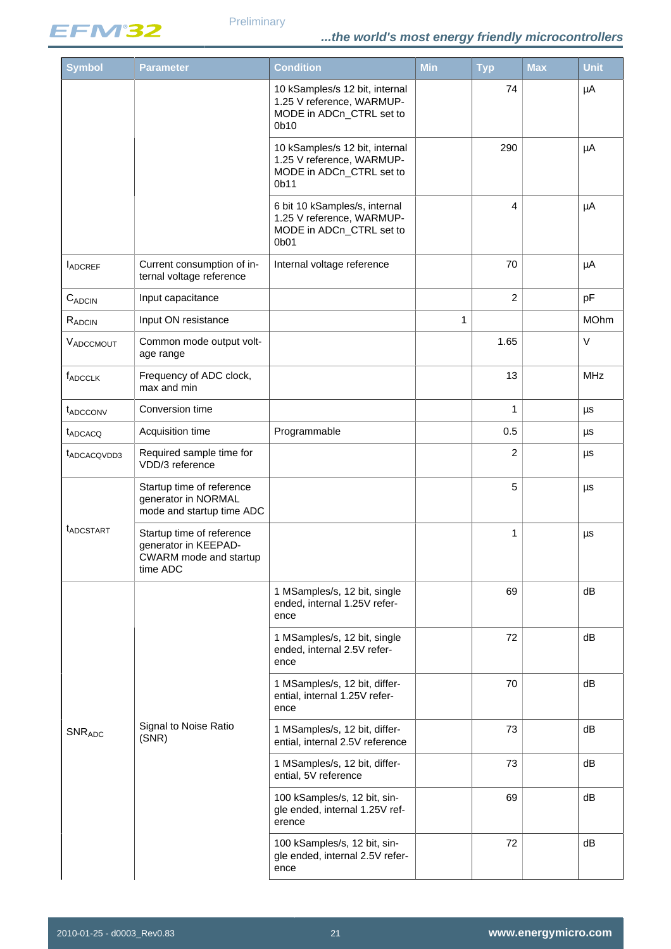

| <b>Symbol</b>            | <b>Parameter</b>                                                                        | <b>Condition</b>                                                                                            | Min          | <b>Typ</b>     | Max | <b>Unit</b> |
|--------------------------|-----------------------------------------------------------------------------------------|-------------------------------------------------------------------------------------------------------------|--------------|----------------|-----|-------------|
|                          |                                                                                         | 10 kSamples/s 12 bit, internal<br>1.25 V reference, WARMUP-<br>MODE in ADCn_CTRL set to<br>0 <sub>b10</sub> |              | 74             |     | μA          |
|                          |                                                                                         | 10 kSamples/s 12 bit, internal<br>1.25 V reference, WARMUP-<br>MODE in ADCn_CTRL set to<br>0b11             |              | 290            |     | μA          |
|                          |                                                                                         | 6 bit 10 kSamples/s, internal<br>1.25 V reference, WARMUP-<br>MODE in ADCn_CTRL set to<br>0b01              |              | 4              |     | μA          |
| <b>LADCREF</b>           | Current consumption of in-<br>ternal voltage reference                                  | Internal voltage reference                                                                                  |              | 70             |     | μA          |
| $C_{ADCIN}$              | Input capacitance                                                                       |                                                                                                             |              | $\overline{2}$ |     | pF          |
| RADCIN                   | Input ON resistance                                                                     |                                                                                                             | $\mathbf{1}$ |                |     | <b>MOhm</b> |
| VADCCMOUT                | Common mode output volt-<br>age range                                                   |                                                                                                             |              | 1.65           |     | V           |
| fADCCLK                  | Frequency of ADC clock,<br>max and min                                                  |                                                                                                             |              | 13             |     | <b>MHz</b>  |
| t <sub>ADCCONV</sub>     | Conversion time                                                                         |                                                                                                             |              | $\mathbf{1}$   |     | μs          |
| t <sub>ADCACQ</sub>      | Acquisition time                                                                        | Programmable                                                                                                |              | 0.5            |     | μs          |
| t <sub>ADCACQVDD3</sub>  | Required sample time for<br>VDD/3 reference                                             |                                                                                                             |              | $\overline{c}$ |     | μs          |
|                          | Startup time of reference<br>generator in NORMAL<br>mode and startup time ADC           |                                                                                                             |              | 5              |     | μs          |
| <b><i>LADCSTART</i></b>  | Startup time of reference<br>generator in KEEPAD-<br>CWARM mode and startup<br>time ADC |                                                                                                             |              | 1              |     | μs          |
|                          |                                                                                         | 1 MSamples/s, 12 bit, single<br>ended, internal 1.25V refer-<br>ence                                        |              | 69             |     | dB          |
|                          |                                                                                         | 1 MSamples/s, 12 bit, single<br>ended, internal 2.5V refer-<br>ence                                         |              | 72             |     | dB          |
|                          |                                                                                         | 1 MSamples/s, 12 bit, differ-<br>ential, internal 1.25V refer-<br>ence                                      |              | 70             |     | dB          |
| <b>SNR<sub>ADC</sub></b> | Signal to Noise Ratio<br>(SNR)                                                          | 1 MSamples/s, 12 bit, differ-<br>ential, internal 2.5V reference                                            |              | 73             |     | dB          |
|                          |                                                                                         | 1 MSamples/s, 12 bit, differ-<br>ential, 5V reference                                                       |              | 73             |     | dB          |
|                          |                                                                                         | 100 kSamples/s, 12 bit, sin-<br>gle ended, internal 1.25V ref-<br>erence                                    |              | 69             |     | dB          |
|                          |                                                                                         | 100 kSamples/s, 12 bit, sin-<br>gle ended, internal 2.5V refer-<br>ence                                     |              | 72             |     | dB          |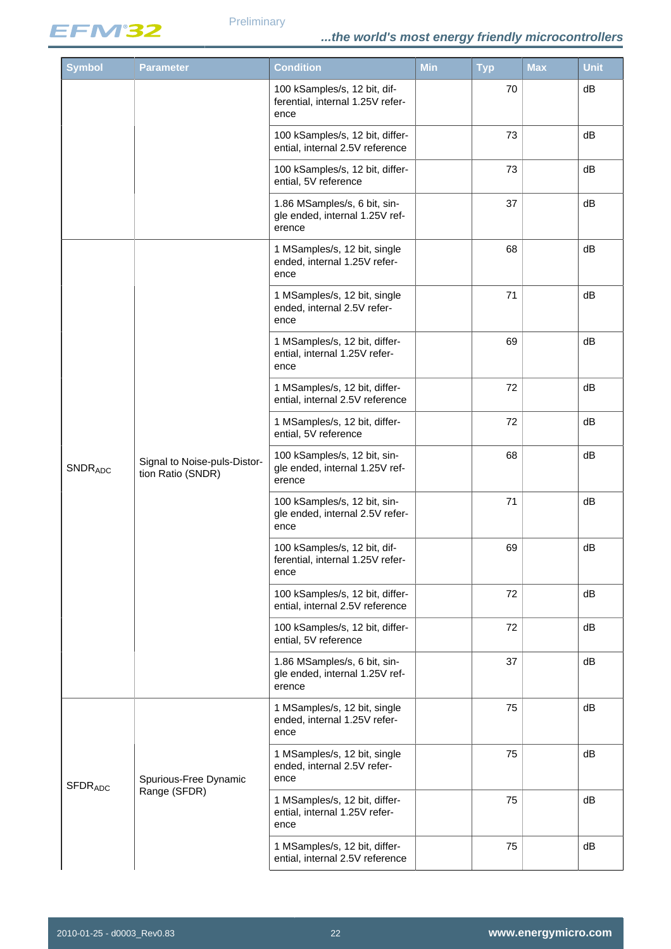

| <b>Symbol</b>             | <b>Parameter</b>                                  | <b>Condition</b>                                                         | <b>Min</b> | <b>Typ</b> | Max | <b>Unit</b> |
|---------------------------|---------------------------------------------------|--------------------------------------------------------------------------|------------|------------|-----|-------------|
|                           |                                                   | 100 kSamples/s, 12 bit, dif-<br>ferential, internal 1.25V refer-<br>ence |            | 70         |     | dB          |
|                           |                                                   | 100 kSamples/s, 12 bit, differ-<br>ential, internal 2.5V reference       |            | 73         |     | dB          |
|                           |                                                   | 100 kSamples/s, 12 bit, differ-<br>ential, 5V reference                  |            | 73         |     | dB          |
|                           |                                                   | 1.86 MSamples/s, 6 bit, sin-<br>gle ended, internal 1.25V ref-<br>erence |            | 37         |     | dB          |
|                           |                                                   | 1 MSamples/s, 12 bit, single<br>ended, internal 1.25V refer-<br>ence     |            | 68         |     | dB          |
|                           |                                                   | 1 MSamples/s, 12 bit, single<br>ended, internal 2.5V refer-<br>ence      |            | 71         |     | dB          |
|                           |                                                   | 1 MSamples/s, 12 bit, differ-<br>ential, internal 1.25V refer-<br>ence   |            | 69         |     | dB          |
|                           |                                                   | 1 MSamples/s, 12 bit, differ-<br>ential, internal 2.5V reference         |            | 72         |     | dB          |
|                           |                                                   | 1 MSamples/s, 12 bit, differ-<br>ential, 5V reference                    |            | 72         |     | dB          |
| <b>SNDRADC</b>            | Signal to Noise-puls-Distor-<br>tion Ratio (SNDR) | 100 kSamples/s, 12 bit, sin-<br>gle ended, internal 1.25V ref-<br>erence |            | 68         |     | dB          |
|                           |                                                   | 100 kSamples/s, 12 bit, sin-<br>gle ended, internal 2.5V refer-<br>ence  |            | 71         |     | dB          |
|                           |                                                   | 100 kSamples/s, 12 bit, dif-<br>ferential, internal 1.25V refer-<br>ence |            | 69         |     | dB          |
|                           |                                                   | 100 kSamples/s, 12 bit, differ-<br>ential, internal 2.5V reference       |            | 72         |     | dB          |
|                           |                                                   | 100 kSamples/s, 12 bit, differ-<br>ential, 5V reference                  |            | 72         |     | dB          |
|                           |                                                   | 1.86 MSamples/s, 6 bit, sin-<br>gle ended, internal 1.25V ref-<br>erence |            | 37         |     | dB          |
|                           |                                                   | 1 MSamples/s, 12 bit, single<br>ended, internal 1.25V refer-<br>ence     |            | 75         |     | dB          |
| <b>SFDR<sub>ADC</sub></b> | Spurious-Free Dynamic                             | 1 MSamples/s, 12 bit, single<br>ended, internal 2.5V refer-<br>ence      |            | 75         |     | dB          |
|                           | Range (SFDR)                                      | 1 MSamples/s, 12 bit, differ-<br>ential, internal 1.25V refer-<br>ence   |            | 75         |     | dB          |
|                           |                                                   | 1 MSamples/s, 12 bit, differ-<br>ential, internal 2.5V reference         |            | 75         |     | dB          |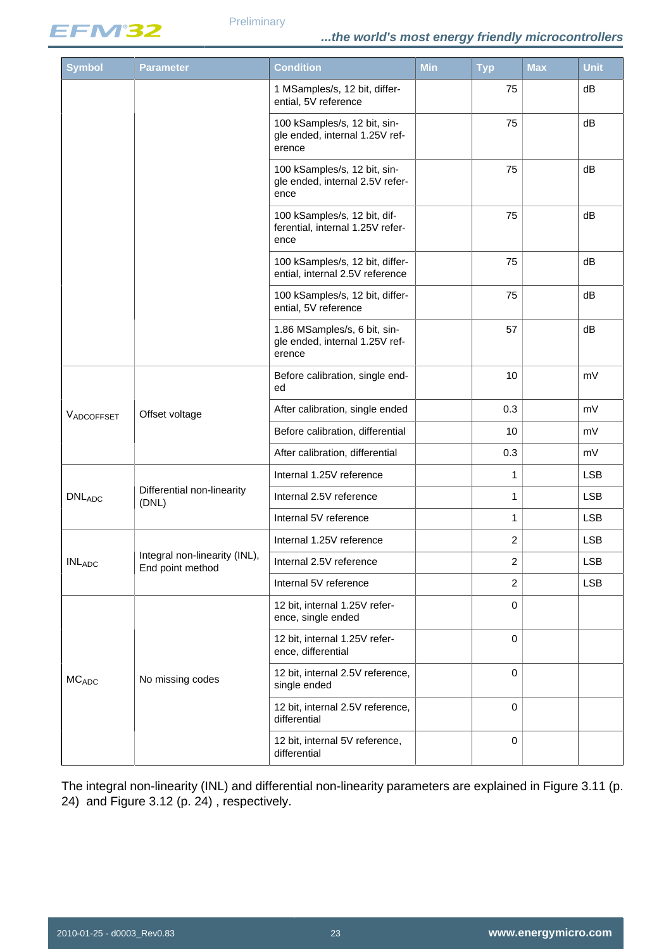

| <b>Symbol</b>               | <b>Parameter</b>                                  | <b>Condition</b>                                                         | <b>Min</b> | <b>Typ</b>     | <b>Max</b> | <b>Unit</b> |
|-----------------------------|---------------------------------------------------|--------------------------------------------------------------------------|------------|----------------|------------|-------------|
|                             |                                                   | 1 MSamples/s, 12 bit, differ-<br>ential, 5V reference                    |            | 75             |            | dB          |
|                             |                                                   | 100 kSamples/s, 12 bit, sin-<br>gle ended, internal 1.25V ref-<br>erence |            | 75             |            | dB          |
|                             |                                                   | 100 kSamples/s, 12 bit, sin-<br>gle ended, internal 2.5V refer-<br>ence  |            | 75             |            | dB          |
|                             |                                                   | 100 kSamples/s, 12 bit, dif-<br>ferential, internal 1.25V refer-<br>ence |            | 75             |            | dB          |
|                             |                                                   | 100 kSamples/s, 12 bit, differ-<br>ential, internal 2.5V reference       |            | 75             |            | dB          |
|                             |                                                   | 100 kSamples/s, 12 bit, differ-<br>ential, 5V reference                  |            | 75             |            | dB          |
|                             |                                                   | 1.86 MSamples/s, 6 bit, sin-<br>gle ended, internal 1.25V ref-<br>erence |            | 57             |            | dB          |
|                             |                                                   | Before calibration, single end-<br>ed                                    |            | 10             |            | mV          |
| VADCOFFSET                  | Offset voltage                                    | After calibration, single ended                                          |            | 0.3            |            | mV          |
|                             |                                                   | Before calibration, differential                                         |            | 10             |            | mV          |
|                             |                                                   | After calibration, differential                                          |            | 0.3            |            | mV          |
|                             |                                                   | Internal 1.25V reference                                                 |            | 1              |            | <b>LSB</b>  |
| <b>DNLADC</b>               | Differential non-linearity<br>(DNL)               | Internal 2.5V reference                                                  |            | 1              |            | <b>LSB</b>  |
|                             |                                                   | Internal 5V reference                                                    |            | 1              |            | <b>LSB</b>  |
|                             |                                                   | Internal 1.25V reference                                                 |            | $\overline{c}$ |            | <b>LSB</b>  |
| $\mathsf{INL}_\mathsf{ADC}$ | Integral non-linearity (INL),<br>End point method | Internal 2.5V reference                                                  |            | $\overline{2}$ |            | <b>LSB</b>  |
|                             |                                                   | Internal 5V reference                                                    |            | $\overline{c}$ |            | <b>LSB</b>  |
|                             |                                                   | 12 bit, internal 1.25V refer-<br>ence, single ended                      |            | $\mathbf 0$    |            |             |
|                             |                                                   | 12 bit, internal 1.25V refer-<br>ence, differential                      |            | $\mathbf 0$    |            |             |
| MC <sub>ADC</sub>           | No missing codes                                  | 12 bit, internal 2.5V reference,<br>single ended                         |            | $\mathbf 0$    |            |             |
|                             |                                                   | 12 bit, internal 2.5V reference,<br>differential                         |            | $\mathbf 0$    |            |             |
|                             |                                                   | 12 bit, internal 5V reference,<br>differential                           |            | $\mathbf 0$    |            |             |

The integral non-linearity (INL) and differential non-linearity parameters are explained in [Figure 3.11 \(p.](#page-23-0) [24\)](#page-23-0) and [Figure 3.12 \(p. 24\)](#page-23-1) , respectively.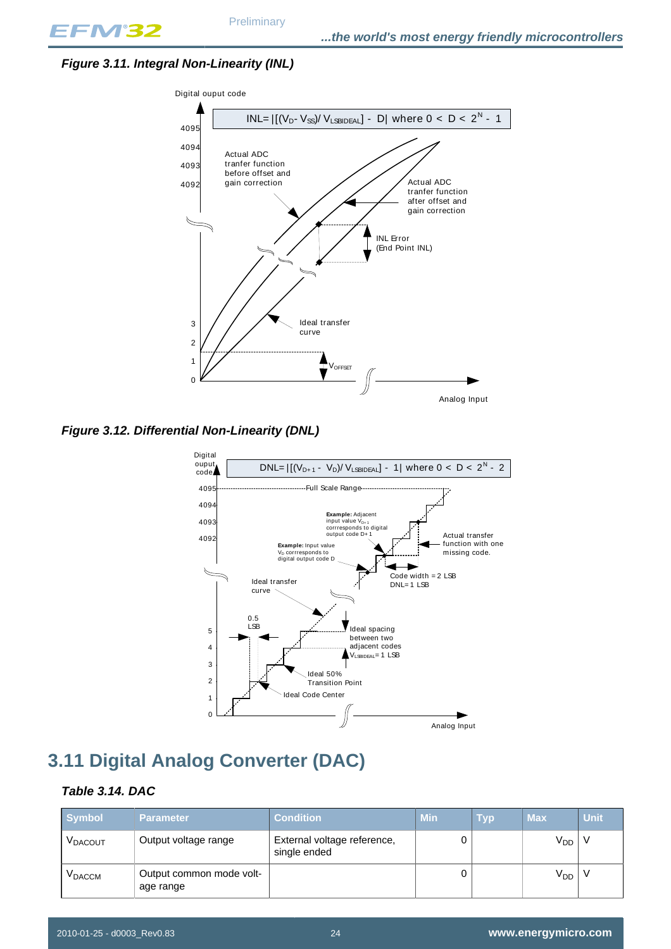### <span id="page-23-0"></span>**Figure 3.11. Integral Non-Linearity (INL)**



<span id="page-23-1"></span>**Figure 3.12. Differential Non-Linearity (DNL)**



## <span id="page-23-2"></span>**3.11 Digital Analog Converter (DAC)**

#### <span id="page-23-3"></span>**Table 3.14. DAC**

| <b>Symbol</b>       | <b>Parameter</b>                      | <b>Condition</b>                            | <b>Min</b> | Тур | <b>Max</b>      | <b>Unit</b> |
|---------------------|---------------------------------------|---------------------------------------------|------------|-----|-----------------|-------------|
| V <sub>DACOUT</sub> | Output voltage range                  | External voltage reference,<br>single ended |            |     | V <sub>DD</sub> |             |
| <b>V</b> DACCM      | Output common mode volt-<br>age range |                                             |            |     | V <sub>DD</sub> |             |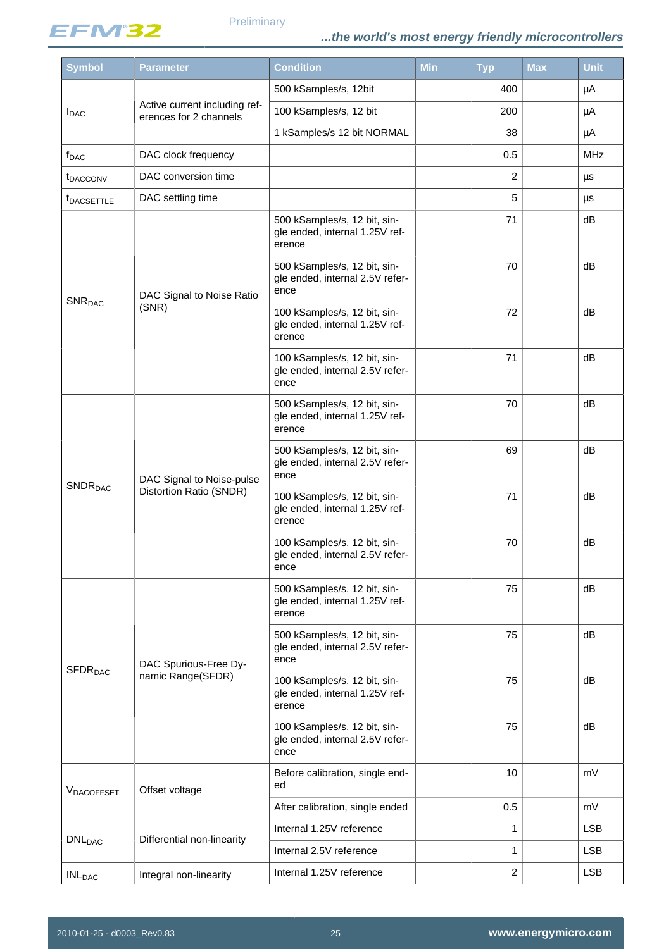

| <b>Symbol</b>              | <b>Parameter</b>                                        | <b>Condition</b>                                                         | <b>Min</b> | <b>Typ</b>     | <b>Max</b> | <b>Unit</b> |
|----------------------------|---------------------------------------------------------|--------------------------------------------------------------------------|------------|----------------|------------|-------------|
|                            |                                                         | 500 kSamples/s, 12bit                                                    |            | 400            |            | μA          |
| <b>I</b> DAC               | Active current including ref-<br>erences for 2 channels | 100 kSamples/s, 12 bit                                                   |            | 200            |            | μA          |
|                            |                                                         | 1 kSamples/s 12 bit NORMAL                                               |            | 38             |            | μA          |
| <b>f</b> <sub>DAC</sub>    | DAC clock frequency                                     |                                                                          |            | 0.5            |            | <b>MHz</b>  |
| <b><i>t</i></b> DACCONV    | DAC conversion time                                     |                                                                          |            | $\overline{c}$ |            | μs          |
| <b><i>IDACSETTLE</i></b>   | DAC settling time                                       |                                                                          |            | 5              |            | μs          |
|                            |                                                         | 500 kSamples/s, 12 bit, sin-<br>gle ended, internal 1.25V ref-<br>erence |            | 71             |            | dB          |
|                            | DAC Signal to Noise Ratio                               | 500 kSamples/s, 12 bit, sin-<br>gle ended, internal 2.5V refer-<br>ence  |            | 70             |            | dB          |
| SNR <sub>DAC</sub>         | (SNR)                                                   | 100 kSamples/s, 12 bit, sin-<br>gle ended, internal 1.25V ref-<br>erence |            | 72             |            | dB          |
|                            |                                                         | 100 kSamples/s, 12 bit, sin-<br>gle ended, internal 2.5V refer-<br>ence  |            | 71             |            | dB          |
|                            | DAC Signal to Noise-pulse<br>Distortion Ratio (SNDR)    | 500 kSamples/s, 12 bit, sin-<br>gle ended, internal 1.25V ref-<br>erence |            | 70             |            | dB          |
|                            |                                                         | 500 kSamples/s, 12 bit, sin-<br>gle ended, internal 2.5V refer-<br>ence  |            | 69             |            | dB          |
| <b>SNDR</b> <sub>DAC</sub> |                                                         | 100 kSamples/s, 12 bit, sin-<br>gle ended, internal 1.25V ref-<br>erence |            | 71             |            | dB          |
|                            |                                                         | 100 kSamples/s, 12 bit, sin-<br>gle ended, internal 2.5V refer-<br>ence  |            | 70             |            | dB          |
|                            |                                                         | 500 kSamples/s, 12 bit, sin-<br>gle ended, internal 1.25V ref-<br>erence |            | 75             |            | dB          |
|                            | DAC Spurious-Free Dy-                                   | 500 kSamples/s, 12 bit, sin-<br>gle ended, internal 2.5V refer-<br>ence  |            | 75             |            | dB          |
| <b>SFDR<sub>DAC</sub></b>  | namic Range(SFDR)                                       | 100 kSamples/s, 12 bit, sin-<br>gle ended, internal 1.25V ref-<br>erence |            | 75             |            | dB          |
|                            |                                                         | 100 kSamples/s, 12 bit, sin-<br>gle ended, internal 2.5V refer-<br>ence  |            | 75             |            | dB          |
| VDACOFFSET                 | Offset voltage                                          | Before calibration, single end-<br>ed                                    |            | 10             |            | mV          |
|                            |                                                         | After calibration, single ended                                          |            | 0.5            |            | mV          |
| <b>DNL</b> <sub>DAC</sub>  | Differential non-linearity                              | Internal 1.25V reference                                                 |            | $\mathbf{1}$   |            | <b>LSB</b>  |
|                            |                                                         | Internal 2.5V reference                                                  |            | 1              |            | <b>LSB</b>  |
| <b>INL<sub>DAC</sub></b>   | Integral non-linearity                                  | Internal 1.25V reference                                                 |            | $\overline{c}$ |            | <b>LSB</b>  |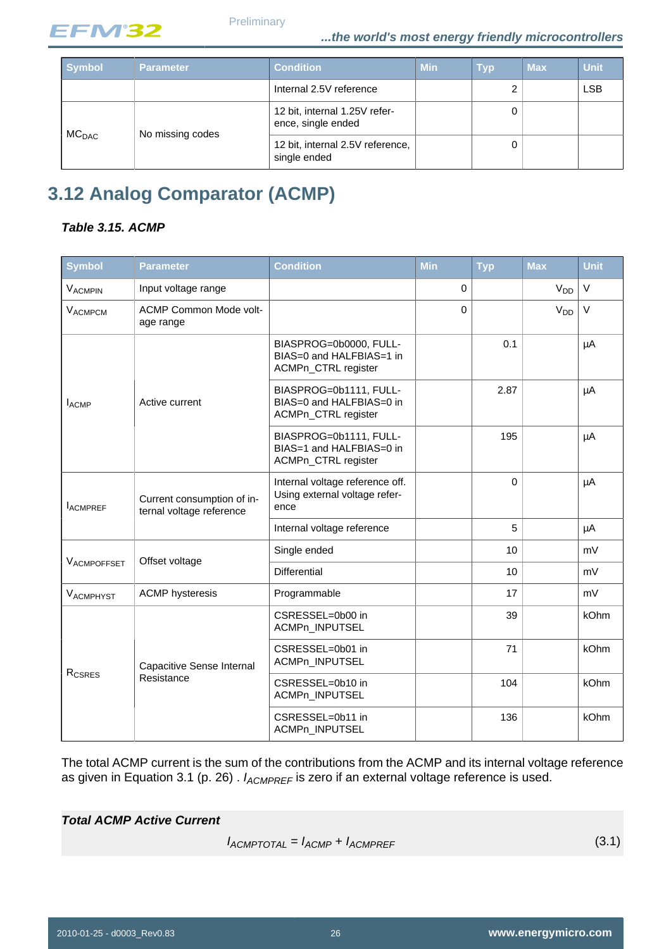

**Preliminary** 

| <b>Symbol</b>     | <b>Parameter</b> | <b>Condition</b>                                    | <b>Min</b> | <b>Typ</b> | <b>Max</b> | <b>Unit</b> |
|-------------------|------------------|-----------------------------------------------------|------------|------------|------------|-------------|
|                   |                  | Internal 2.5V reference                             |            | 2          |            | <b>LSB</b>  |
| MC <sub>DAC</sub> | No missing codes | 12 bit, internal 1.25V refer-<br>ence, single ended |            | 0          |            |             |
|                   |                  | 12 bit, internal 2.5V reference,<br>single ended    |            | 0          |            |             |

## <span id="page-25-1"></span>**3.12 Analog Comparator (ACMP)**

#### <span id="page-25-2"></span>**Table 3.15. ACMP**

| Symbol             | <b>Parameter</b>                                       | <b>Condition</b>                                                          | Min         | <b>Typ</b> | <b>Max</b>            | <b>Unit</b> |
|--------------------|--------------------------------------------------------|---------------------------------------------------------------------------|-------------|------------|-----------------------|-------------|
| <b>VACMPIN</b>     | Input voltage range                                    |                                                                           | $\mathbf 0$ |            | <b>V<sub>DD</sub></b> | $\vee$      |
| VACMPCM            | <b>ACMP Common Mode volt-</b><br>age range             |                                                                           | 0           |            | V <sub>DD</sub>       | $\vee$      |
|                    |                                                        | BIASPROG=0b0000, FULL-<br>BIAS=0 and HALFBIAS=1 in<br>ACMPn_CTRL register |             | 0.1        |                       | μA          |
| $I_{ACMP}$         | Active current                                         | BIASPROG=0b1111, FULL-<br>BIAS=0 and HALFBIAS=0 in<br>ACMPn_CTRL register |             | 2.87       |                       | μA          |
|                    |                                                        | BIASPROG=0b1111, FULL-<br>BIAS=1 and HALFBIAS=0 in<br>ACMPn_CTRL register |             | 195        |                       | μA          |
| <b>IACMPREF</b>    | Current consumption of in-<br>ternal voltage reference | Internal voltage reference off.<br>Using external voltage refer-<br>ence  |             | $\Omega$   |                       | μA          |
|                    |                                                        | Internal voltage reference                                                |             | 5          |                       | μA          |
|                    |                                                        | Single ended                                                              |             | 10         |                       | mV          |
| VACMPOFFSET        | Offset voltage                                         | <b>Differential</b>                                                       |             | 10         |                       | mV          |
| VACMPHYST          | <b>ACMP</b> hysteresis                                 | Programmable                                                              |             | 17         |                       | mV          |
|                    |                                                        | CSRESSEL=0b00 in<br>ACMPn_INPUTSEL                                        |             | 39         |                       | kOhm        |
|                    | <b>Capacitive Sense Internal</b>                       | CSRESSEL=0b01 in<br>ACMPn_INPUTSEL                                        |             | 71         |                       | kOhm        |
| R <sub>CSRES</sub> | Resistance                                             | CSRESSEL=0b10 in<br>ACMPn_INPUTSEL                                        |             | 104        |                       | kOhm        |
|                    |                                                        | CSRESSEL=0b11 in<br>ACMPn_INPUTSEL                                        |             | 136        |                       | kOhm        |

The total ACMP current is the sum of the contributions from the ACMP and its internal voltage reference as given in Equation 3.1 (p. 26).  $I_{ACMPREF}$  is zero if an external voltage reference is used.

#### <span id="page-25-0"></span>**Total ACMP Active Current**

 $I_{ACMPTOTAL} = I_{ACMP} + I_{ACMPREF}$  (3.1)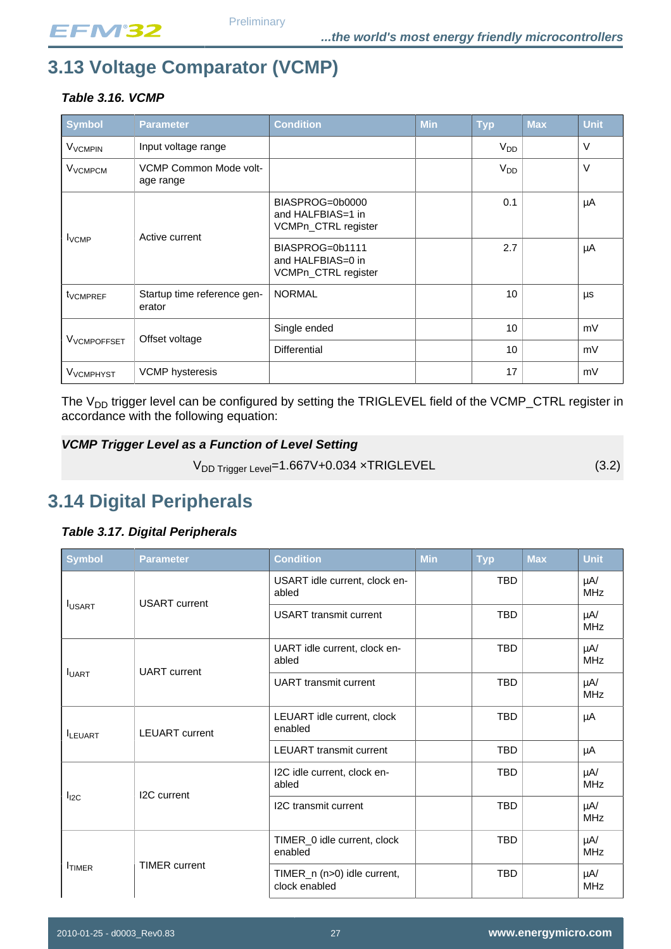# <span id="page-26-1"></span>**3.13 Voltage Comparator (VCMP)**

### <span id="page-26-2"></span>**Table 3.16. VCMP**

| Symbol                    | <b>Parameter</b>                      | <b>Condition</b>                                            | <b>Min</b> | <b>Typ</b>      | <b>Max</b> | <b>Unit</b> |
|---------------------------|---------------------------------------|-------------------------------------------------------------|------------|-----------------|------------|-------------|
| <b>V<sub>VCMPIN</sub></b> | Input voltage range                   |                                                             |            | $V_{DD}$        |            | $\vee$      |
| V <sub>VCMPCM</sub>       | VCMP Common Mode volt-<br>age range   |                                                             |            | V <sub>DD</sub> |            | $\vee$      |
| $I_{VCMP}$                | Active current                        | BIASPROG=0b0000<br>and HALFBIAS=1 in<br>VCMPn_CTRL register |            | 0.1             |            | μA          |
|                           |                                       | BIASPROG=0b1111<br>and HALFBIAS=0 in<br>VCMPn_CTRL register |            | 2.7             |            | μA          |
| t <sub>VCMPREF</sub>      | Startup time reference gen-<br>erator | <b>NORMAL</b>                                               |            | 10              |            | μs          |
|                           |                                       | Single ended                                                |            | 10              |            | mV          |
| V <sub>VCMPOFFSET</sub>   | Offset voltage                        | <b>Differential</b>                                         |            | 10 <sup>1</sup> |            | mV          |
| V <sub>VCMPHYST</sub>     | <b>VCMP</b> hysteresis                |                                                             |            | 17              |            | mV          |

The V<sub>DD</sub> trigger level can be configured by setting the TRIGLEVEL field of the VCMP\_CTRL register in accordance with the following equation:

#### <span id="page-26-4"></span>**VCMP Trigger Level as a Function of Level Setting**

 $V_{DD\text{ trigger Level}} = 1.667V + 0.034 \times TRIGLEVEL$  (3.2)

## <span id="page-26-0"></span>**3.14 Digital Peripherals**

#### <span id="page-26-3"></span>**Table 3.17. Digital Peripherals**

| <b>Symbol</b>  | <b>Parameter</b>         | <b>Condition</b>                             | Min | <b>Typ</b> | <b>Max</b>                                                                                                                                        | <b>Unit</b>            |  |  |  |  |  |
|----------------|--------------------------|----------------------------------------------|-----|------------|---------------------------------------------------------------------------------------------------------------------------------------------------|------------------------|--|--|--|--|--|
|                | <b>USART</b> current     | USART idle current, clock en-<br>abled       |     | <b>TBD</b> |                                                                                                                                                   | μA/<br><b>MHz</b>      |  |  |  |  |  |
| <b>IUSART</b>  |                          | <b>USART</b> transmit current                |     | <b>TBD</b> |                                                                                                                                                   | $\mu$ A/<br><b>MHz</b> |  |  |  |  |  |
| <b>I</b> UART  | <b>UART</b> current      | UART idle current, clock en-<br>abled        |     | TBD        |                                                                                                                                                   | μA/<br><b>MHz</b>      |  |  |  |  |  |
|                |                          | <b>UART</b> transmit current                 |     | <b>TBD</b> |                                                                                                                                                   | $\mu$ A/<br><b>MHz</b> |  |  |  |  |  |
| <b>ILEUART</b> | <b>LEUART</b> current    | LEUART idle current, clock<br>enabled        |     | <b>TBD</b> |                                                                                                                                                   | μA                     |  |  |  |  |  |
|                |                          | <b>LEUART</b> transmit current               |     | <b>TBD</b> | μA<br><b>TBD</b><br>μA/<br><b>MHz</b><br><b>TBD</b><br>$\mu$ A/<br><b>MHz</b><br>TBD<br>μA/<br><b>MHz</b><br><b>TBD</b><br>$\mu$ A/<br><b>MHz</b> |                        |  |  |  |  |  |
|                |                          | I2C idle current, clock en-<br>abled         |     |            |                                                                                                                                                   |                        |  |  |  |  |  |
| $I_{I2C}$      | I <sub>2</sub> C current | I2C transmit current                         |     |            |                                                                                                                                                   |                        |  |  |  |  |  |
| <b>ITIMER</b>  |                          | TIMER_0 idle current, clock<br>enabled       |     |            |                                                                                                                                                   |                        |  |  |  |  |  |
|                | <b>TIMER</b> current     | TIMER_n (n>0) idle current,<br>clock enabled |     |            |                                                                                                                                                   |                        |  |  |  |  |  |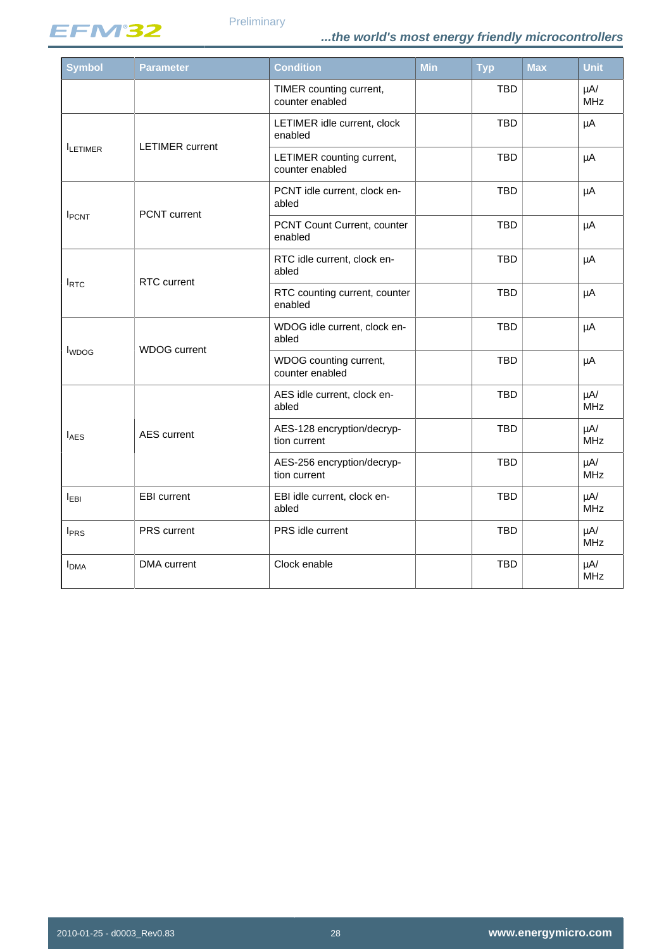

| <b>Symbol</b>           | <b>Parameter</b>       | <b>Condition</b>                             | <b>Min</b> | <b>Typ</b> | <b>Max</b> | <b>Unit</b>                                                                                                                      |  |  |  |
|-------------------------|------------------------|----------------------------------------------|------------|------------|------------|----------------------------------------------------------------------------------------------------------------------------------|--|--|--|
|                         |                        | TIMER counting current,<br>counter enabled   |            | <b>TBD</b> |            | $\mu$ A/<br><b>MHz</b>                                                                                                           |  |  |  |
|                         | <b>LETIMER</b> current | LETIMER idle current, clock<br>enabled       |            | <b>TBD</b> |            | μA                                                                                                                               |  |  |  |
| <b>ILETIMER</b>         |                        | LETIMER counting current,<br>counter enabled |            | <b>TBD</b> |            | μA<br>μA<br>μA<br>μA<br>μA<br>μA<br>μA<br>$\mu$ A/<br><b>MHz</b><br>$\mu$ A/<br><b>MHz</b><br>$\mu$ A/<br><b>MHz</b><br>$\mu$ A/ |  |  |  |
| <b>I</b> PCNT           | PCNT current           | PCNT idle current, clock en-<br>abled        |            | <b>TBD</b> |            |                                                                                                                                  |  |  |  |
|                         |                        | PCNT Count Current, counter<br>enabled       |            | <b>TBD</b> |            |                                                                                                                                  |  |  |  |
|                         | <b>RTC</b> current     | RTC idle current, clock en-<br>abled         |            | <b>TBD</b> |            |                                                                                                                                  |  |  |  |
| $I_{\text{RTC}}$        |                        | RTC counting current, counter<br>enabled     |            | <b>TBD</b> |            |                                                                                                                                  |  |  |  |
|                         | <b>WDOG</b> current    | WDOG idle current, clock en-<br>abled        |            | <b>TBD</b> |            |                                                                                                                                  |  |  |  |
| <b>I</b> WDOG           |                        | WDOG counting current,<br>counter enabled    |            | <b>TBD</b> |            |                                                                                                                                  |  |  |  |
|                         |                        | AES idle current, clock en-<br>abled         |            | <b>TBD</b> |            |                                                                                                                                  |  |  |  |
| $I_{\text{AES}}$        | <b>AES</b> current     | AES-128 encryption/decryp-<br>tion current   |            | <b>TBD</b> |            |                                                                                                                                  |  |  |  |
|                         |                        | AES-256 encryption/decryp-<br>tion current   |            | <b>TBD</b> |            |                                                                                                                                  |  |  |  |
| <b>IEBI</b>             | <b>EBI</b> current     | EBI idle current, clock en-<br>abled         |            | <b>TBD</b> |            | <b>MHz</b>                                                                                                                       |  |  |  |
| <b>I</b> <sub>PRS</sub> | PRS current            | PRS idle current                             |            | <b>TBD</b> |            | $\mu$ A/<br><b>MHz</b>                                                                                                           |  |  |  |
| <b>I</b> <sub>DMA</sub> | <b>DMA</b> current     | Clock enable                                 |            | <b>TBD</b> |            | $\mu$ A/<br><b>MHz</b>                                                                                                           |  |  |  |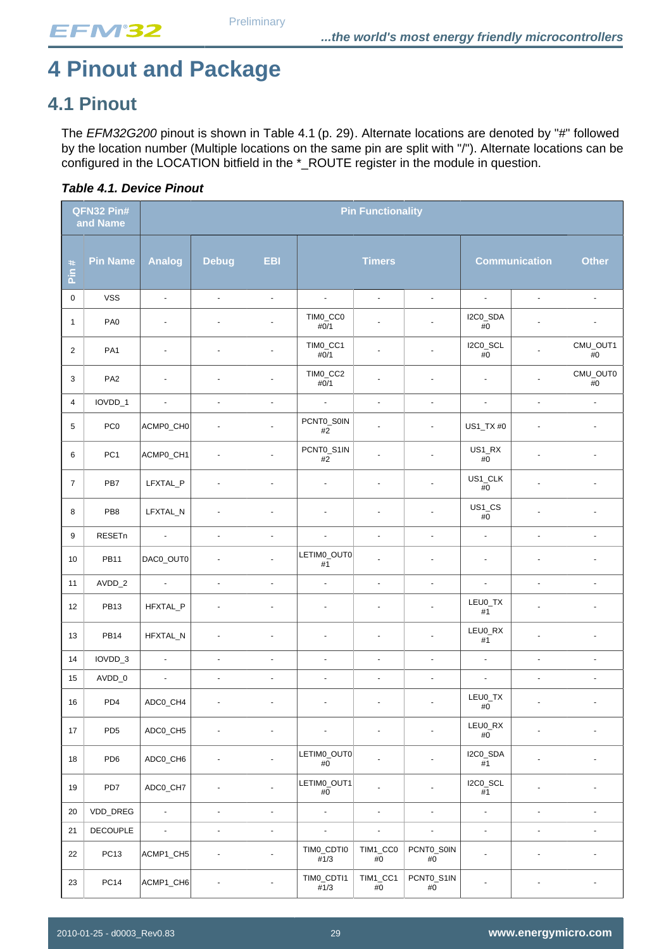# <span id="page-28-1"></span>**4 Pinout and Package**

## <span id="page-28-2"></span>**4.1 Pinout**

The EFM32G200 pinout is shown in Table 4.1 (p. 29). Alternate locations are denoted by "#" followed by the location number (Multiple locations on the same pin are split with "/"). Alternate locations can be configured in the LOCATION bitfield in the \*\_ROUTE register in the module in question.

<span id="page-28-0"></span>

|                | QFN32 Pin#<br>and Name |                  | <b>Pin Functionality</b> |                          |                          |                          |                     |                       |                          |                          |
|----------------|------------------------|------------------|--------------------------|--------------------------|--------------------------|--------------------------|---------------------|-----------------------|--------------------------|--------------------------|
| $\#$<br>in     | <b>Pin Name</b>        | <b>Analog</b>    | <b>Debug</b>             | <b>EBI</b>               |                          | <b>Timers</b>            |                     |                       | <b>Communication</b>     | <b>Other</b>             |
| $\mathbf 0$    | <b>VSS</b>             | $\blacksquare$   | ÷,                       | $\Box$                   | $\omega$                 | L.                       | ÷,                  | $\omega$              | ÷,                       | ä,                       |
| $\mathbf{1}$   | PA <sub>0</sub>        | $\blacksquare$   |                          | $\blacksquare$           | TIM0_CC0<br>#0/1         | $\blacksquare$           | $\blacksquare$      | I2C0_SDA<br>$\#0$     |                          | $\blacksquare$           |
| $\overline{2}$ | PA <sub>1</sub>        | $\blacksquare$   | $\blacksquare$           | $\blacksquare$           | TIMO_CC1<br>#0/1         | $\blacksquare$           |                     | I2C0_SCL<br>$\#0$     |                          | CMU_OUT1<br>$\#0$        |
| 3              | PA <sub>2</sub>        |                  |                          |                          | TIM0_CC2<br>#0/1         | $\blacksquare$           |                     | ÷,                    |                          | CMU_OUT0<br>#0           |
| 4              | IOVDD_1                | $\blacksquare$   | ÷.                       | $\blacksquare$           | $\omega$                 | $\overline{\phantom{a}}$ | $\blacksquare$      | $\blacksquare$        | $\overline{\phantom{a}}$ | $\Box$                   |
| 5              | PC <sub>0</sub>        | ACMP0_CH0        | $\blacksquare$           | $\blacksquare$           | PCNT0_S0IN<br>$\#2$      | $\ddot{\phantom{1}}$     | ÷.                  | US1_TX #0             | $\blacksquare$           | $\blacksquare$           |
| 6              | PC <sub>1</sub>        | ACMP0_CH1        | ÷,                       | $\overline{a}$           | PCNT0_S1IN<br>$\#2$      | $\overline{a}$           | $\overline{a}$      | $US1_RX$<br>$\#0$     | $\overline{a}$           | $\blacksquare$           |
| 7              | PB7                    | LFXTAL_P         | ä,                       | $\omega$                 | $\blacksquare$           | $\blacksquare$           | $\omega$            | US1_CLK<br>$\#0$      |                          | ÷,                       |
| 8              | PB8                    | LFXTAL_N         | ä,                       | ä,                       | $\overline{\phantom{a}}$ | ä,                       | $\overline{a}$      | $US1_C$ $CS$<br>$\#0$ | ä,                       | ÷.                       |
| 9              | RESETn                 | $\sim$           | $\omega$                 | $\blacksquare$           | $\hat{\mathbf{r}}$       | $\blacksquare$           | $\blacksquare$      | $\omega$              | $\blacksquare$           | $\blacksquare$           |
| 10             | <b>PB11</b>            | DAC0_OUT0        | ä,                       |                          | LETIM0_OUT0<br>$\#1$     |                          | ÷.                  | $\blacksquare$        | $\overline{\phantom{a}}$ |                          |
| 11             | AVDD_2                 | $\blacksquare$   | $\Box$                   | $\Box$                   | $\blacksquare$           | $\blacksquare$           | $\omega$            | $\Box$                | ÷,                       | ÷,                       |
| 12             | <b>PB13</b>            | HFXTAL_P         | ä,                       | $\blacksquare$           | ÷,                       | L,                       |                     | LEU0_TX<br>$\#1$      | ä,                       | ä,                       |
| 13             | <b>PB14</b>            | HFXTAL_N         |                          |                          |                          |                          |                     | LEU0_RX<br>#1         |                          |                          |
| 14             | IOVDD_3                | $\omega$         | $\Box$                   | $\Box$                   | $\blacksquare$           | $\blacksquare$           | $\Box$              | $\Box$                | $\hat{\mathbf{r}}$       | $\overline{\phantom{a}}$ |
| 15             | AVDD_0                 | $\blacksquare$   | $\blacksquare$           | $\blacksquare$           | $\blacksquare$           | $\blacksquare$           | $\blacksquare$      | $\Box$                | ä,                       | $\omega$                 |
| 16             | PD4                    | ADC0_CH4         | ÷,                       | $\overline{\phantom{a}}$ | ٠                        | $\overline{a}$           |                     | LEU0_TX<br>#0         | ÷,                       | $\overline{\phantom{a}}$ |
| 17             | PD <sub>5</sub>        | ADC0_CH5         |                          | $\sim$                   |                          | $\blacksquare$           |                     | LEU0_RX<br>$\#0$      |                          |                          |
| 18             | PD <sub>6</sub>        | ADC0_CH6         |                          | $\blacksquare$           | LETIM0_OUT0<br>#0        | $\overline{a}$           | ÷,                  | I2C0_SDA<br>$\#1$     | ÷,                       | ä,                       |
| 19             | PD7                    | ADC0_CH7         | ÷,                       | $\blacksquare$           | LETIM0_OUT1<br>#0        | $\ddot{\phantom{0}}$     | $\blacksquare$      | I2C0_SCL<br>#1        | ä,                       |                          |
| 20             | VDD_DREG               | $\blacksquare$   | $\blacksquare$           | $\blacksquare$           | $\blacksquare$           | $\blacksquare$           | $\Box$              | $\Box$                | $\blacksquare$           | ÷,                       |
| 21             | DECOUPLE               | $\omega_{\rm c}$ | ÷.                       | $\Box$                   | ÷.                       | $\overline{a}$           | ÷,                  | $\Box$                | $\overline{a}$           | ä,                       |
| 22             | PC <sub>13</sub>       | ACMP1_CH5        | ÷,                       | $\blacksquare$           | TIMO_CDTI0<br>#1/3       | TIM1_CC0<br>#0           | PCNT0_S0IN<br>#0    | $\blacksquare$        | $\blacksquare$           | ÷.                       |
| 23             | <b>PC14</b>            | ACMP1_CH6        | ÷,                       | $\blacksquare$           | TIMO_CDTI1<br>#1/3       | TIM1_CC1<br>$\#0$        | PCNT0_S1IN<br>$\#0$ | $\blacksquare$        | $\overline{\phantom{a}}$ | $\blacksquare$           |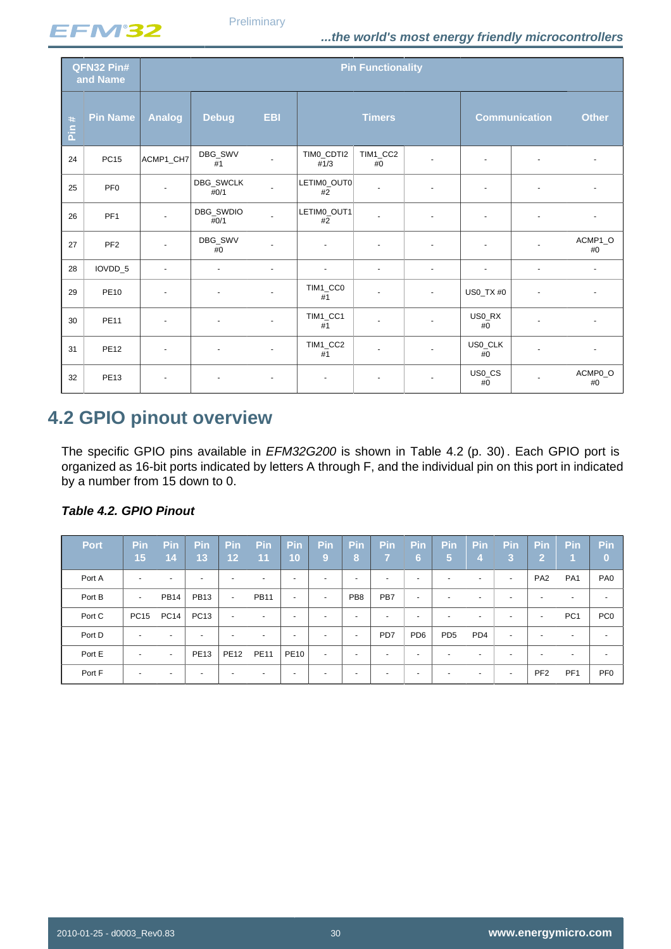

|                             | QFN32 Pin#<br>and Name | <b>Pin Functionality</b> |                             |                |                    |                |                |                      |                      |                |
|-----------------------------|------------------------|--------------------------|-----------------------------|----------------|--------------------|----------------|----------------|----------------------|----------------------|----------------|
| $\ddot{}$<br>$\overline{a}$ | <b>Pin Name</b>        | <b>Analog</b>            | <b>Debug</b>                | <b>EBI</b>     |                    | <b>Timers</b>  |                | <b>Communication</b> | <b>Other</b>         |                |
| 24                          | <b>PC15</b>            | ACMP1_CH7                | DBG_SWV<br>#1               | ÷              | TIMO CDTI2<br>#1/3 | TIM1_CC2<br>#0 | ÷.             | $\sim$               | $\blacksquare$       | $\blacksquare$ |
| 25                          | PF <sub>0</sub>        |                          | DBG_SWCLK<br>#0/1           |                | LETIM0_OUT0<br>#2  | $\blacksquare$ | ÷.             | $\blacksquare$       | ä,                   |                |
| 26                          | PF <sub>1</sub>        |                          | DBG_SWDIO<br>#0/1           |                | LETIM0_OUT1<br>#2  | $\blacksquare$ |                | $\blacksquare$       | $\blacksquare$       |                |
| 27                          | PF <sub>2</sub>        |                          | DBG_SWV<br>#0               |                | ÷,                 | $\blacksquare$ | $\blacksquare$ | $\blacksquare$       | $\mathbf{r}$         | ACMP1_O<br>#0  |
| 28                          | IOVDD_5                | $\blacksquare$           | $\mathcal{L}_{\mathcal{A}}$ | $\blacksquare$ | $\blacksquare$     | $\blacksquare$ | $\blacksquare$ | $\blacksquare$       | $\blacksquare$       | $\sim$         |
| 29                          | <b>PE10</b>            |                          | $\blacksquare$              |                | TIM1_CC0<br>#1     | ٠              | $\blacksquare$ | US0_TX #0            | $\ddot{\phantom{1}}$ |                |
| 30                          | <b>PE11</b>            | $\blacksquare$           | $\blacksquare$              | $\blacksquare$ | TIM1_CC1<br>#1     | $\blacksquare$ | ÷.             | US0_RX<br>#0         | $\mathbf{r}$         |                |
| 31                          | <b>PE12</b>            | ٠                        | $\blacksquare$              | $\blacksquare$ | TIM1_CC2<br>#1     | ٠              | ÷.             | US0_CLK<br>#0        | $\mathbf{r}$         | $\sim$         |
| 32                          | <b>PE13</b>            |                          |                             |                |                    |                |                | US0_CS<br>$#0$       |                      | ACMP0_O<br>#0  |

## <span id="page-29-1"></span>**4.2 GPIO pinout overview**

The specific GPIO pins available in *EFM32G200* is shown in Table 4.2 (p. 30). Each GPIO port is organized as 16-bit ports indicated by letters A through F, and the individual pin on this port in indicated by a number from 15 down to 0.

| <b>Port</b> | Pin<br>15                | <b>Pin</b><br>14         | <b>Pin</b><br>13         | Pin<br>12                | <b>Pin</b><br>$\overline{11}$ | Pin<br>10                | <b>Pin</b><br>9          | <b>Pin</b><br>8          | <b>Pin</b><br>7          | <b>Pin</b><br>6          | <b>Pin</b><br>15         | <b>Pin</b><br>4          | <b>Pin</b><br>3          | Pin<br>V)                | Pin                      | <b>Pin</b><br>$\bf{0}$   |
|-------------|--------------------------|--------------------------|--------------------------|--------------------------|-------------------------------|--------------------------|--------------------------|--------------------------|--------------------------|--------------------------|--------------------------|--------------------------|--------------------------|--------------------------|--------------------------|--------------------------|
| Port A      | $\overline{a}$           | $\overline{\phantom{0}}$ | $\overline{\phantom{0}}$ | $\overline{\phantom{0}}$ |                               | $\overline{\phantom{0}}$ | $\overline{\phantom{a}}$ | $\overline{\phantom{a}}$ | $\overline{a}$           | $\overline{\phantom{a}}$ | $\overline{\phantom{0}}$ | $\overline{\phantom{0}}$ | ۰                        | PA <sub>2</sub>          | PA <sub>1</sub>          | PA <sub>0</sub>          |
| Port B      | $\sim$                   | <b>PB14</b>              | <b>PB13</b>              | $\sim$                   | <b>PB11</b>                   | $\overline{\phantom{a}}$ | $\overline{\phantom{0}}$ | PB <sub>8</sub>          | PB7                      | $\overline{a}$           | $\overline{\phantom{a}}$ | $\overline{\phantom{a}}$ | $\overline{\phantom{0}}$ | -                        | -                        | -                        |
| Port C      | <b>PC15</b>              | <b>PC14</b>              | <b>PC13</b>              | $\sim$                   | $\overline{\phantom{a}}$      | $\overline{\phantom{0}}$ | $\overline{\phantom{0}}$ | $\overline{\phantom{a}}$ | $\overline{a}$           | $\overline{\phantom{a}}$ | $\overline{\phantom{0}}$ | $\overline{a}$           | -                        | $\overline{\phantom{a}}$ | PC <sub>1</sub>          | PC <sub>0</sub>          |
| Port D      | $\overline{\phantom{a}}$ | $\overline{\phantom{0}}$ |                          | $\overline{\phantom{0}}$ |                               | $\overline{\phantom{0}}$ |                          | $\overline{\phantom{a}}$ | PD7                      | PD <sub>6</sub>          | PD <sub>5</sub>          | PD <sub>4</sub>          | $\overline{\phantom{0}}$ | $\overline{\phantom{0}}$ | $\overline{\phantom{0}}$ | $\overline{\phantom{0}}$ |
| Port E      | $\overline{a}$           | $\sim$                   | <b>PE13</b>              | <b>PE12</b>              | <b>PE11</b>                   | <b>PE10</b>              | $\overline{\phantom{0}}$ | $\overline{\phantom{a}}$ | $\overline{a}$           | $\overline{\phantom{a}}$ | $\overline{\phantom{0}}$ | $\overline{\phantom{a}}$ | $\overline{\phantom{0}}$ | -                        | $\overline{\phantom{0}}$ | -                        |
| Port F      | $\overline{\phantom{a}}$ | $\overline{\phantom{0}}$ | $\overline{\phantom{0}}$ | $\overline{\phantom{0}}$ |                               | $\overline{\phantom{0}}$ |                          | $\overline{\phantom{a}}$ | $\overline{\phantom{0}}$ | $\overline{\phantom{a}}$ | $\overline{a}$           |                          | ۰                        | PF <sub>2</sub>          | PF <sub>1</sub>          | PF <sub>0</sub>          |

#### <span id="page-29-0"></span>**Table 4.2. GPIO Pinout**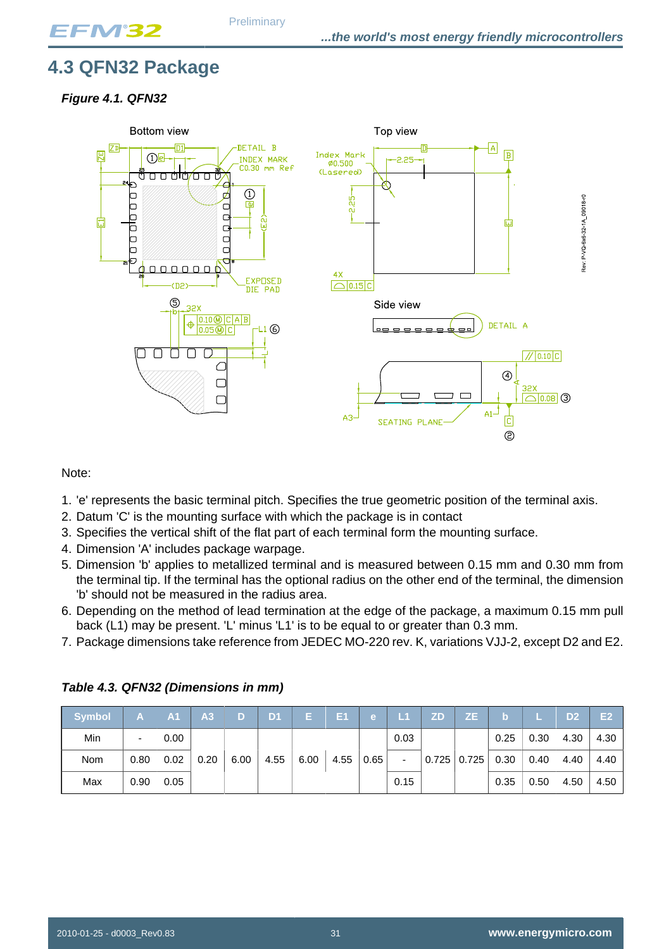## <span id="page-30-0"></span>**4.3 QFN32 Package**

#### <span id="page-30-1"></span>**Figure 4.1. QFN32**



#### Note:

- 1. 'e' represents the basic terminal pitch. Specifies the true geometric position of the terminal axis.
- 2. Datum 'C' is the mounting surface with which the package is in contact
- 3. Specifies the vertical shift of the flat part of each terminal form the mounting surface.
- 4. Dimension 'A' includes package warpage.
- 5. Dimension 'b' applies to metallized terminal and is measured between 0.15 mm and 0.30 mm from the terminal tip. If the terminal has the optional radius on the other end of the terminal, the dimension 'b' should not be measured in the radius area.
- 6. Depending on the method of lead termination at the edge of the package, a maximum 0.15 mm pull back (L1) may be present. 'L' minus 'L1' is to be equal to or greater than 0.3 mm.
- 7. Package dimensions take reference from JEDEC MO-220 rev. K, variations VJJ-2, except D2 and E2.

| <b>Symbol</b> | A    | <b>A1</b> | A3   | D    | D <sub>1</sub> |      | E <sub>1</sub> | e <sub>1</sub> | $\mathsf{L}1$            | <b>ZD</b> | ZE.             | b.   |      | D <sub>2</sub> | E <sub>2</sub> |
|---------------|------|-----------|------|------|----------------|------|----------------|----------------|--------------------------|-----------|-----------------|------|------|----------------|----------------|
| Min           | ٠    | 0.00      |      |      |                |      |                |                | 0.03                     |           |                 | 0.25 | 0.30 | 4.30           | 4.30           |
| <b>Nom</b>    | 0.80 | 0.02      | 0.20 | 6.00 | 4.55           | 6.00 | 4.55           | 0.65           | $\overline{\phantom{a}}$ |           | $0.725$   0.725 | 0.30 | 0.40 | 4.40           | 4.40           |
| Max           | 0.90 | 0.05      |      |      |                |      |                |                | 0.15                     |           |                 | 0.35 | 0.50 | 4.50           | 4.50           |

<span id="page-30-2"></span>**Table 4.3. QFN32 (Dimensions in mm)**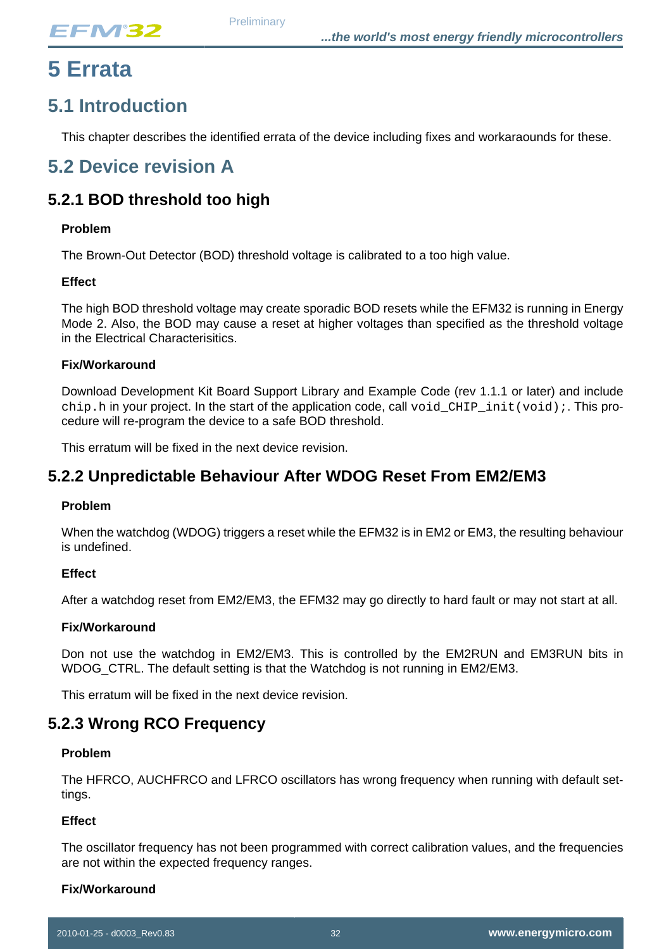## <span id="page-31-0"></span>**5 Errata**

## <span id="page-31-1"></span>**5.1 Introduction**

This chapter describes the identified errata of the device including fixes and workaraounds for these.

## <span id="page-31-2"></span>**5.2 Device revision A**

### **5.2.1 BOD threshold too high**

#### **Problem**

The Brown-Out Detector (BOD) threshold voltage is calibrated to a too high value.

#### **Effect**

The high BOD threshold voltage may create sporadic BOD resets while the EFM32 is running in Energy Mode 2. Also, the BOD may cause a reset at higher voltages than specified as the threshold voltage in the Electrical Characterisitics.

#### **Fix/Workaround**

Download Development Kit Board Support Library and Example Code (rev 1.1.1 or later) and include chip.h in your project. In the start of the application code, call void\_CHIP\_init(void);. This procedure will re-program the device to a safe BOD threshold.

This erratum will be fixed in the next device revision.

### **5.2.2 Unpredictable Behaviour After WDOG Reset From EM2/EM3**

#### **Problem**

When the watchdog (WDOG) triggers a reset while the EFM32 is in EM2 or EM3, the resulting behaviour is undefined.

#### **Effect**

After a watchdog reset from EM2/EM3, the EFM32 may go directly to hard fault or may not start at all.

#### **Fix/Workaround**

Don not use the watchdog in EM2/EM3. This is controlled by the EM2RUN and EM3RUN bits in WDOG CTRL. The default setting is that the Watchdog is not running in EM2/EM3.

This erratum will be fixed in the next device revision.

### **5.2.3 Wrong RCO Frequency**

#### **Problem**

The HFRCO, AUCHFRCO and LFRCO oscillators has wrong frequency when running with default settings.

#### **Effect**

The oscillator frequency has not been programmed with correct calibration values, and the frequencies are not within the expected frequency ranges.

#### **Fix/Workaround**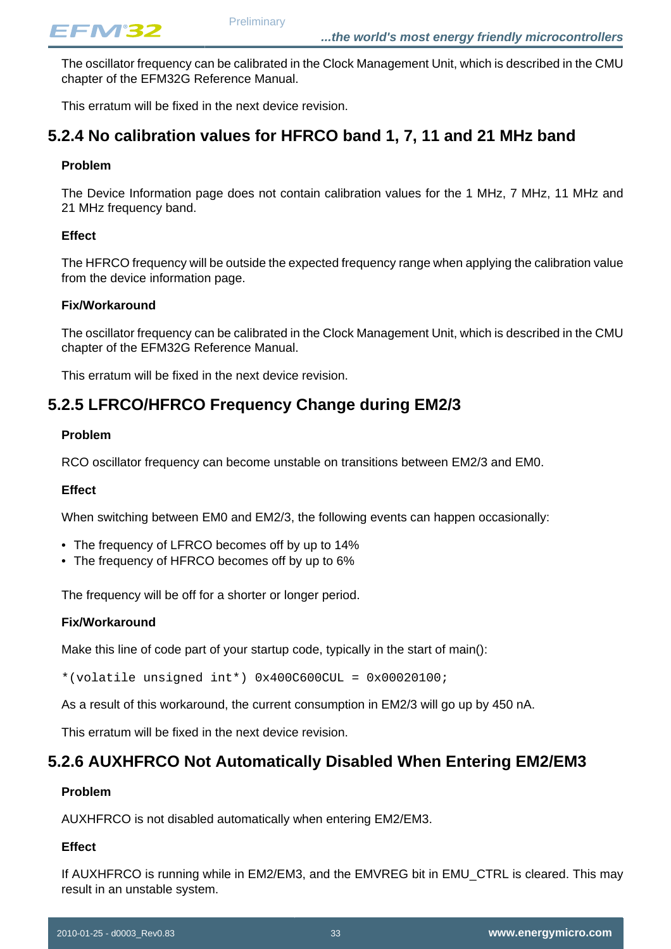The oscillator frequency can be calibrated in the Clock Management Unit, which is described in the CMU chapter of the EFM32G Reference Manual.

This erratum will be fixed in the next device revision.

### **5.2.4 No calibration values for HFRCO band 1, 7, 11 and 21 MHz band**

#### **Problem**

The Device Information page does not contain calibration values for the 1 MHz, 7 MHz, 11 MHz and 21 MHz frequency band.

#### **Effect**

The HFRCO frequency will be outside the expected frequency range when applying the calibration value from the device information page.

#### **Fix/Workaround**

The oscillator frequency can be calibrated in the Clock Management Unit, which is described in the CMU chapter of the EFM32G Reference Manual.

This erratum will be fixed in the next device revision.

### **5.2.5 LFRCO/HFRCO Frequency Change during EM2/3**

#### **Problem**

RCO oscillator frequency can become unstable on transitions between EM2/3 and EM0.

#### **Effect**

When switching between EM0 and EM2/3, the following events can happen occasionally:

- The frequency of LFRCO becomes off by up to 14%
- The frequency of HFRCO becomes off by up to 6%

The frequency will be off for a shorter or longer period.

#### **Fix/Workaround**

Make this line of code part of your startup code, typically in the start of main():

\*(volatile unsigned int\*) 0x400C600CUL = 0x00020100;

As a result of this workaround, the current consumption in EM2/3 will go up by 450 nA.

This erratum will be fixed in the next device revision.

### **5.2.6 AUXHFRCO Not Automatically Disabled When Entering EM2/EM3**

#### **Problem**

AUXHFRCO is not disabled automatically when entering EM2/EM3.

#### **Effect**

If AUXHFRCO is running while in EM2/EM3, and the EMVREG bit in EMU\_CTRL is cleared. This may result in an unstable system.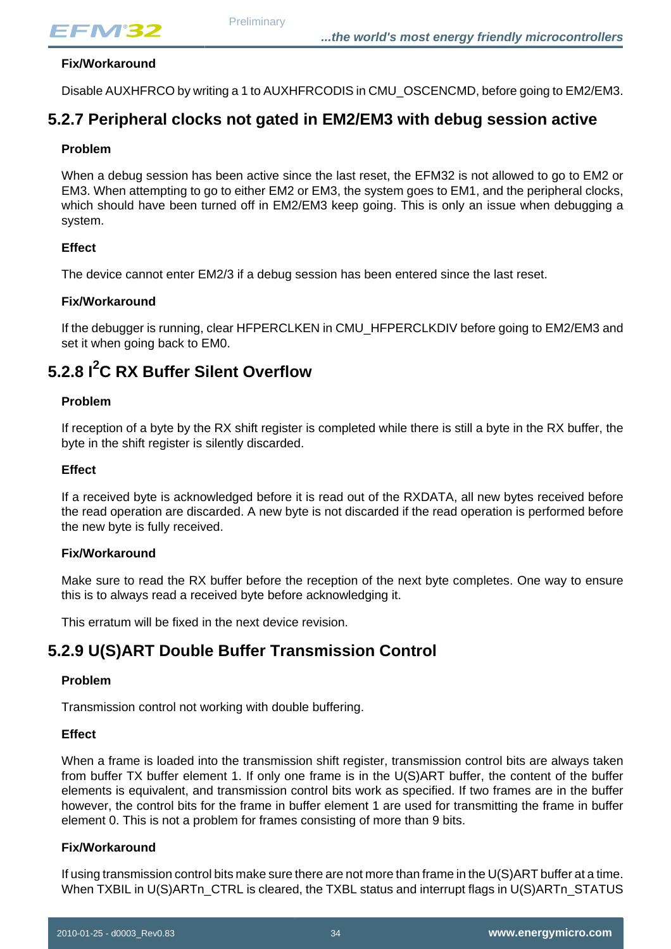#### **Fix/Workaround**

Disable AUXHFRCO by writing a 1 to AUXHFRCODIS in CMU\_OSCENCMD, before going to EM2/EM3.

### **5.2.7 Peripheral clocks not gated in EM2/EM3 with debug session active**

#### **Problem**

When a debug session has been active since the last reset, the EFM32 is not allowed to go to EM2 or EM3. When attempting to go to either EM2 or EM3, the system goes to EM1, and the peripheral clocks, which should have been turned off in EM2/EM3 keep going. This is only an issue when debugging a system.

#### **Effect**

The device cannot enter EM2/3 if a debug session has been entered since the last reset.

#### **Fix/Workaround**

If the debugger is running, clear HFPERCLKEN in CMU\_HFPERCLKDIV before going to EM2/EM3 and set it when going back to EM0.

## **5.2.8 I2C RX Buffer Silent Overflow**

#### **Problem**

If reception of a byte by the RX shift register is completed while there is still a byte in the RX buffer, the byte in the shift register is silently discarded.

#### **Effect**

If a received byte is acknowledged before it is read out of the RXDATA, all new bytes received before the read operation are discarded. A new byte is not discarded if the read operation is performed before the new byte is fully received.

#### **Fix/Workaround**

Make sure to read the RX buffer before the reception of the next byte completes. One way to ensure this is to always read a received byte before acknowledging it.

This erratum will be fixed in the next device revision.

### **5.2.9 U(S)ART Double Buffer Transmission Control**

#### **Problem**

Transmission control not working with double buffering.

#### **Effect**

When a frame is loaded into the transmission shift register, transmission control bits are always taken from buffer TX buffer element 1. If only one frame is in the U(S)ART buffer, the content of the buffer elements is equivalent, and transmission control bits work as specified. If two frames are in the buffer however, the control bits for the frame in buffer element 1 are used for transmitting the frame in buffer element 0. This is not a problem for frames consisting of more than 9 bits.

#### **Fix/Workaround**

If using transmission control bits make sure there are not more than frame in the U(S)ART buffer at a time. When TXBIL in U(S)ARTn\_CTRL is cleared, the TXBL status and interrupt flags in U(S)ARTn\_STATUS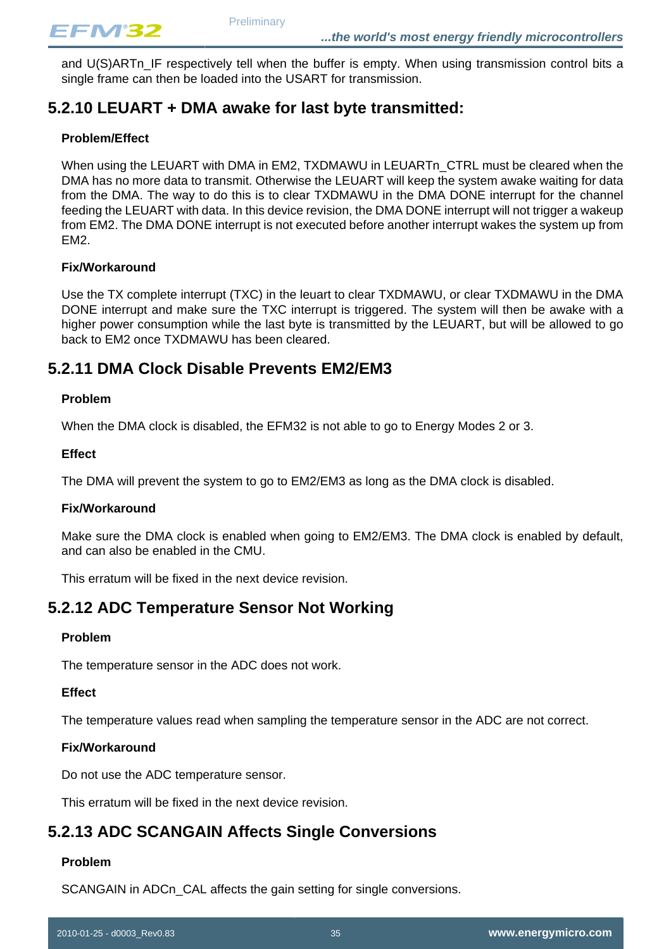and U(S)ARTn\_IF respectively tell when the buffer is empty. When using transmission control bits a single frame can then be loaded into the USART for transmission.

### **5.2.10 LEUART + DMA awake for last byte transmitted:**

#### **Problem/Effect**

When using the LEUART with DMA in EM2, TXDMAWU in LEUARTn\_CTRL must be cleared when the DMA has no more data to transmit. Otherwise the LEUART will keep the system awake waiting for data from the DMA. The way to do this is to clear TXDMAWU in the DMA DONE interrupt for the channel feeding the LEUART with data. In this device revision, the DMA DONE interrupt will not trigger a wakeup from EM2. The DMA DONE interrupt is not executed before another interrupt wakes the system up from EM2.

#### **Fix/Workaround**

Use the TX complete interrupt (TXC) in the leuart to clear TXDMAWU, or clear TXDMAWU in the DMA DONE interrupt and make sure the TXC interrupt is triggered. The system will then be awake with a higher power consumption while the last byte is transmitted by the LEUART, but will be allowed to go back to EM2 once TXDMAWU has been cleared.

### **5.2.11 DMA Clock Disable Prevents EM2/EM3**

#### **Problem**

When the DMA clock is disabled, the EFM32 is not able to go to Energy Modes 2 or 3.

#### **Effect**

The DMA will prevent the system to go to EM2/EM3 as long as the DMA clock is disabled.

#### **Fix/Workaround**

Make sure the DMA clock is enabled when going to EM2/EM3. The DMA clock is enabled by default, and can also be enabled in the CMU.

This erratum will be fixed in the next device revision.

### **5.2.12 ADC Temperature Sensor Not Working**

#### **Problem**

The temperature sensor in the ADC does not work.

#### **Effect**

The temperature values read when sampling the temperature sensor in the ADC are not correct.

#### **Fix/Workaround**

Do not use the ADC temperature sensor.

This erratum will be fixed in the next device revision.

### **5.2.13 ADC SCANGAIN Affects Single Conversions**

#### **Problem**

SCANGAIN in ADCn CAL affects the gain setting for single conversions.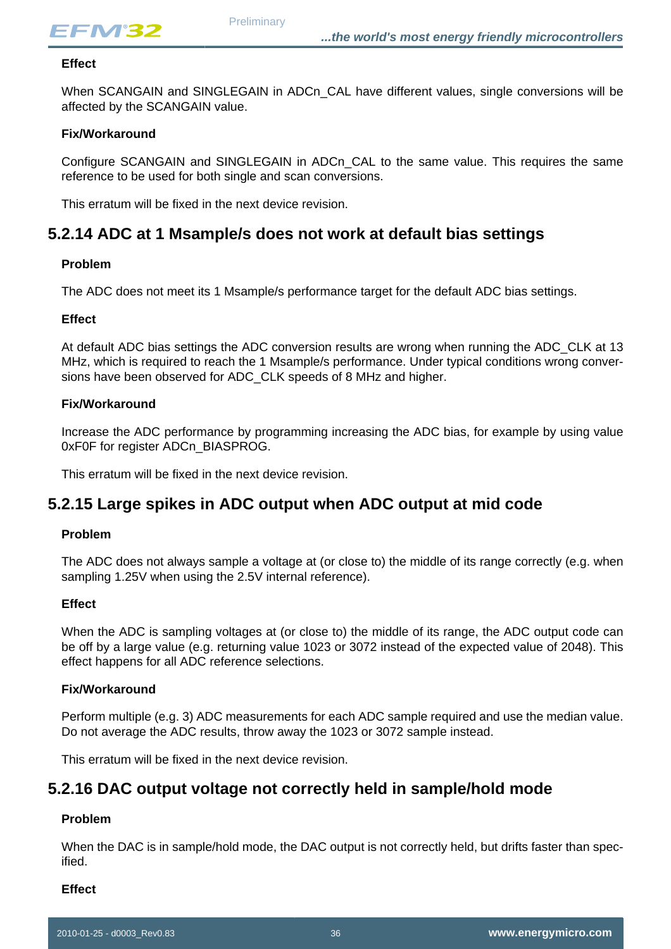

#### **Effect**

When SCANGAIN and SINGLEGAIN in ADCn CAL have different values, single conversions will be affected by the SCANGAIN value.

#### **Fix/Workaround**

Configure SCANGAIN and SINGLEGAIN in ADCn\_CAL to the same value. This requires the same reference to be used for both single and scan conversions.

This erratum will be fixed in the next device revision.

### **5.2.14 ADC at 1 Msample/s does not work at default bias settings**

#### **Problem**

The ADC does not meet its 1 Msample/s performance target for the default ADC bias settings.

#### **Effect**

At default ADC bias settings the ADC conversion results are wrong when running the ADC\_CLK at 13 MHz, which is required to reach the 1 Msample/s performance. Under typical conditions wrong conversions have been observed for ADC\_CLK speeds of 8 MHz and higher.

#### **Fix/Workaround**

Increase the ADC performance by programming increasing the ADC bias, for example by using value 0xF0F for register ADCn\_BIASPROG.

This erratum will be fixed in the next device revision.

### **5.2.15 Large spikes in ADC output when ADC output at mid code**

#### **Problem**

The ADC does not always sample a voltage at (or close to) the middle of its range correctly (e.g. when sampling 1.25V when using the 2.5V internal reference).

#### **Effect**

When the ADC is sampling voltages at (or close to) the middle of its range, the ADC output code can be off by a large value (e.g. returning value 1023 or 3072 instead of the expected value of 2048). This effect happens for all ADC reference selections.

#### **Fix/Workaround**

Perform multiple (e.g. 3) ADC measurements for each ADC sample required and use the median value. Do not average the ADC results, throw away the 1023 or 3072 sample instead.

This erratum will be fixed in the next device revision.

### **5.2.16 DAC output voltage not correctly held in sample/hold mode**

#### **Problem**

When the DAC is in sample/hold mode, the DAC output is not correctly held, but drifts faster than specified.

#### **Effect**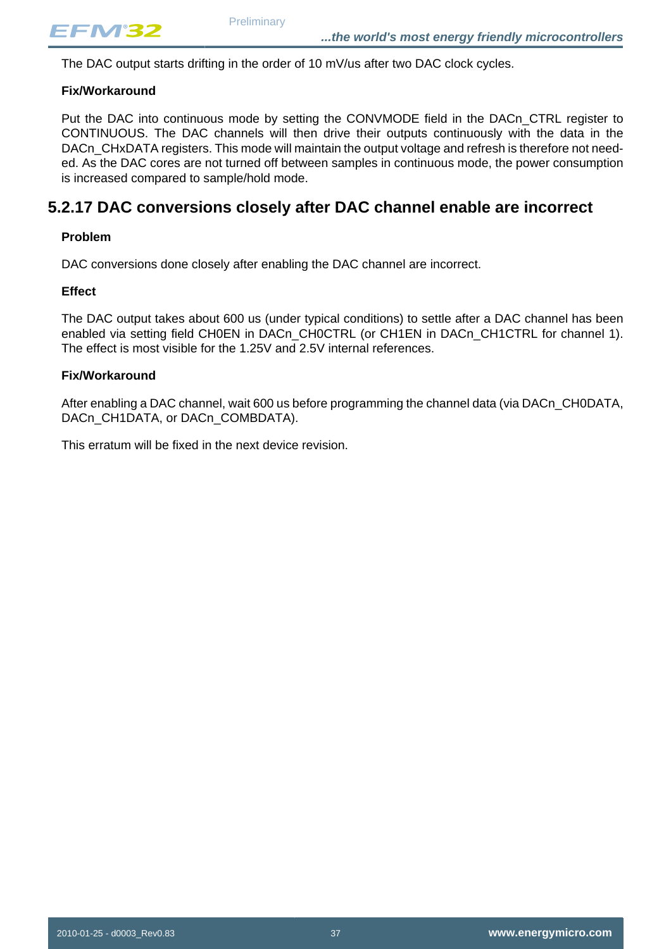The DAC output starts drifting in the order of 10 mV/us after two DAC clock cycles.

#### **Fix/Workaround**

Put the DAC into continuous mode by setting the CONVMODE field in the DACn\_CTRL register to CONTINUOUS. The DAC channels will then drive their outputs continuously with the data in the DACn CHxDATA registers. This mode will maintain the output voltage and refresh is therefore not needed. As the DAC cores are not turned off between samples in continuous mode, the power consumption is increased compared to sample/hold mode.

### **5.2.17 DAC conversions closely after DAC channel enable are incorrect**

#### **Problem**

DAC conversions done closely after enabling the DAC channel are incorrect.

#### **Effect**

The DAC output takes about 600 us (under typical conditions) to settle after a DAC channel has been enabled via setting field CH0EN in DACn\_CH0CTRL (or CH1EN in DACn\_CH1CTRL for channel 1). The effect is most visible for the 1.25V and 2.5V internal references.

#### **Fix/Workaround**

After enabling a DAC channel, wait 600 us before programming the channel data (via DACn\_CH0DATA, DACn\_CH1DATA, or DACn\_COMBDATA).

This erratum will be fixed in the next device revision.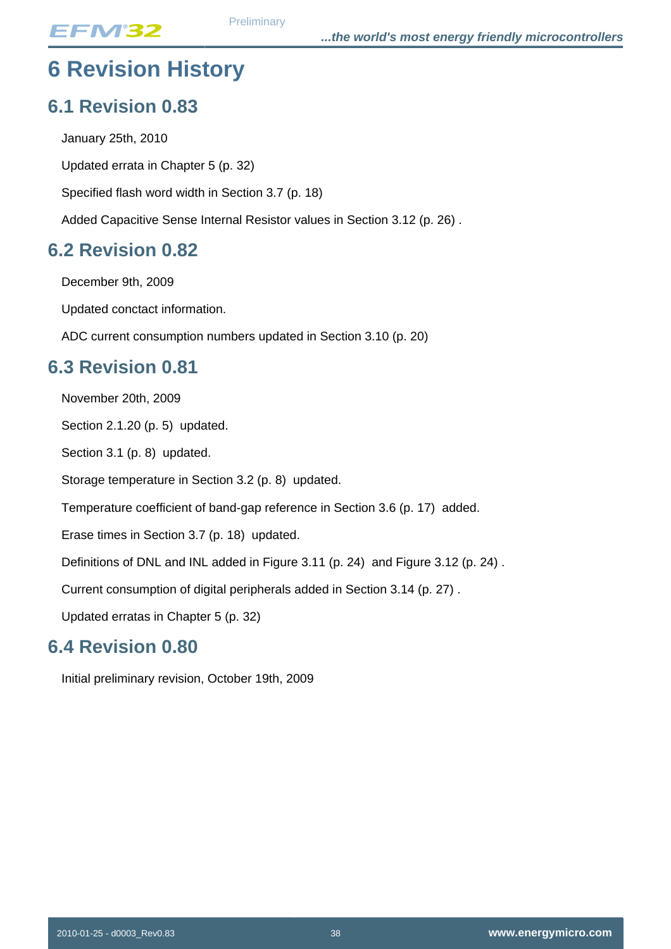# <span id="page-37-0"></span>**6 Revision History**

## <span id="page-37-1"></span>**6.1 Revision 0.83**

January 25th, 2010 Updated errata in [Chapter 5 \(p. 32\)](#page-31-0) Specified flash word width in [Section 3.7 \(p. 18\)](#page-17-0) Added Capacitive Sense Internal Resistor values in [Section 3.12 \(p. 26\) .](#page-25-1)

## <span id="page-37-2"></span>**6.2 Revision 0.82**

December 9th, 2009

Updated conctact information.

ADC current consumption numbers updated in [Section 3.10 \(p. 20\)](#page-19-0)

## <span id="page-37-3"></span>**6.3 Revision 0.81**

November 20th, 2009

[Section 2.1.20 \(p. 5\)](#page-4-0) updated.

[Section 3.1 \(p. 8\)](#page-7-2) updated.

Storage temperature in [Section 3.2 \(p. 8\)](#page-7-3) updated.

Temperature coefficient of band-gap reference in [Section 3.6 \(p. 17\)](#page-16-0) added.

Erase times in [Section 3.7 \(p. 18\)](#page-17-0) updated.

Definitions of DNL and INL added in [Figure 3.11 \(p. 24\)](#page-23-0) and [Figure 3.12 \(p. 24\) .](#page-23-1)

Current consumption of digital peripherals added in [Section 3.14 \(p. 27\)](#page-26-0) .

Updated erratas in [Chapter 5 \(p. 32\)](#page-31-0)

## <span id="page-37-4"></span>**6.4 Revision 0.80**

Initial preliminary revision, October 19th, 2009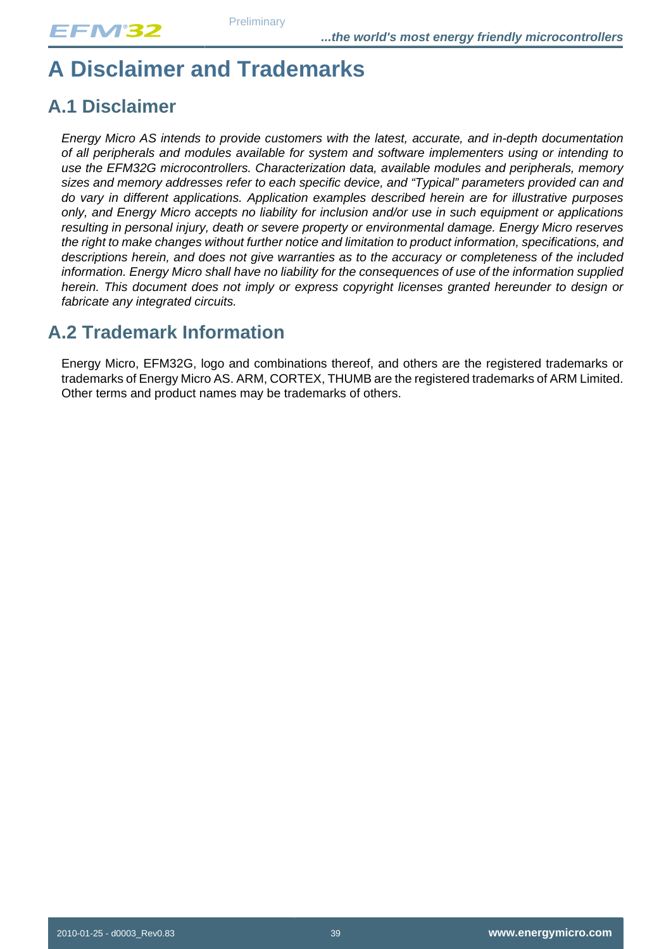# <span id="page-38-0"></span>**A Disclaimer and Trademarks**

## <span id="page-38-1"></span>**A.1 Disclaimer**

Energy Micro AS intends to provide customers with the latest, accurate, and in-depth documentation of all peripherals and modules available for system and software implementers using or intending to use the EFM32G microcontrollers. Characterization data, available modules and peripherals, memory sizes and memory addresses refer to each specific device, and "Typical" parameters provided can and do vary in different applications. Application examples described herein are for illustrative purposes only, and Energy Micro accepts no liability for inclusion and/or use in such equipment or applications resulting in personal injury, death or severe property or environmental damage. Energy Micro reserves the right to make changes without further notice and limitation to product information, specifications, and descriptions herein, and does not give warranties as to the accuracy or completeness of the included information. Energy Micro shall have no liability for the consequences of use of the information supplied herein. This document does not imply or express copyright licenses granted hereunder to design or fabricate any integrated circuits.

## <span id="page-38-2"></span>**A.2 Trademark Information**

Energy Micro, EFM32G, logo and combinations thereof, and others are the registered trademarks or trademarks of Energy Micro AS. ARM, CORTEX, THUMB are the registered trademarks of ARM Limited. Other terms and product names may be trademarks of others.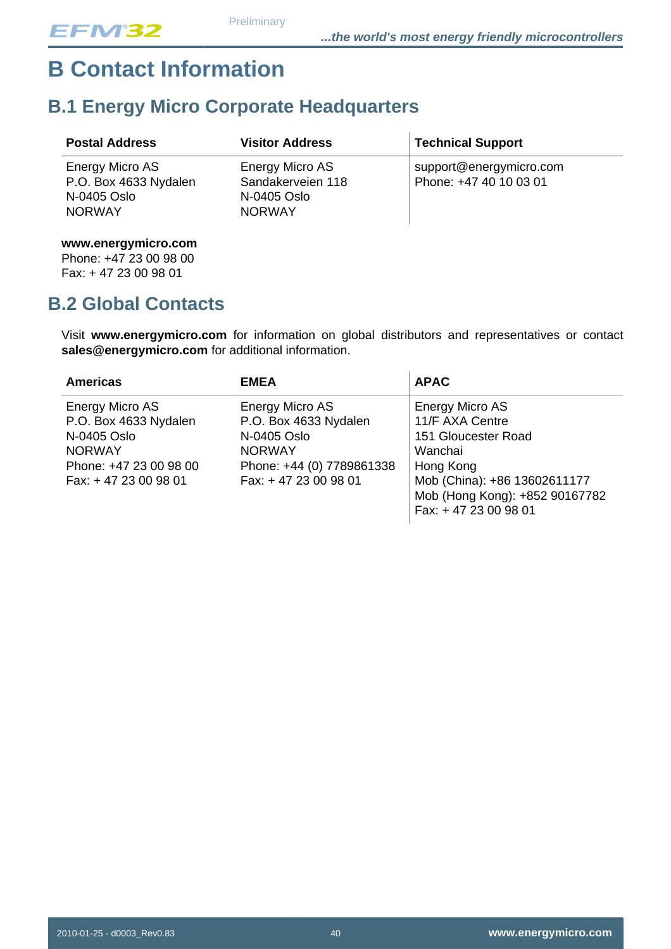# <span id="page-39-0"></span>**B Contact Information**

## <span id="page-39-1"></span>**B.1 Energy Micro Corporate Headquarters**

| <b>Postal Address</b>                                                    | <b>Visitor Address</b>                                               | Technical Support                                 |
|--------------------------------------------------------------------------|----------------------------------------------------------------------|---------------------------------------------------|
| Energy Micro AS<br>P.O. Box 4633 Nydalen<br>N-0405 Oslo<br><b>NORWAY</b> | Energy Micro AS<br>Sandakerveien 118<br>N-0405 Oslo<br><b>NORWAY</b> | support@energymicro.com<br>Phone: +47 40 10 03 01 |

### **www.energymicro.com**

Phone: +47 23 00 98 00 Fax: + 47 23 00 98 01

## <span id="page-39-2"></span>**B.2 Global Contacts**

Visit **www.energymicro.com** for information on global distributors and representatives or contact **sales@energymicro.com** for additional information.

| <b>Americas</b>                                                                                                            | <b>EMEA</b>                                                                                                                   | <b>APAC</b>                                                                                                                                                                 |
|----------------------------------------------------------------------------------------------------------------------------|-------------------------------------------------------------------------------------------------------------------------------|-----------------------------------------------------------------------------------------------------------------------------------------------------------------------------|
| Energy Micro AS<br>P.O. Box 4633 Nydalen<br>N-0405 Oslo<br><b>NORWAY</b><br>Phone: +47 23 00 98 00<br>Fax: +47 23 00 98 01 | Energy Micro AS<br>P.O. Box 4633 Nydalen<br>N-0405 Oslo<br><b>NORWAY</b><br>Phone: +44 (0) 7789861338<br>Fax: +47 23 00 98 01 | Energy Micro AS<br>11/F AXA Centre<br>151 Gloucester Road<br>Wanchai<br>Hong Kong<br>Mob (China): +86 13602611177<br>Mob (Hong Kong): +852 90167782<br>Fax: +47 23 00 98 01 |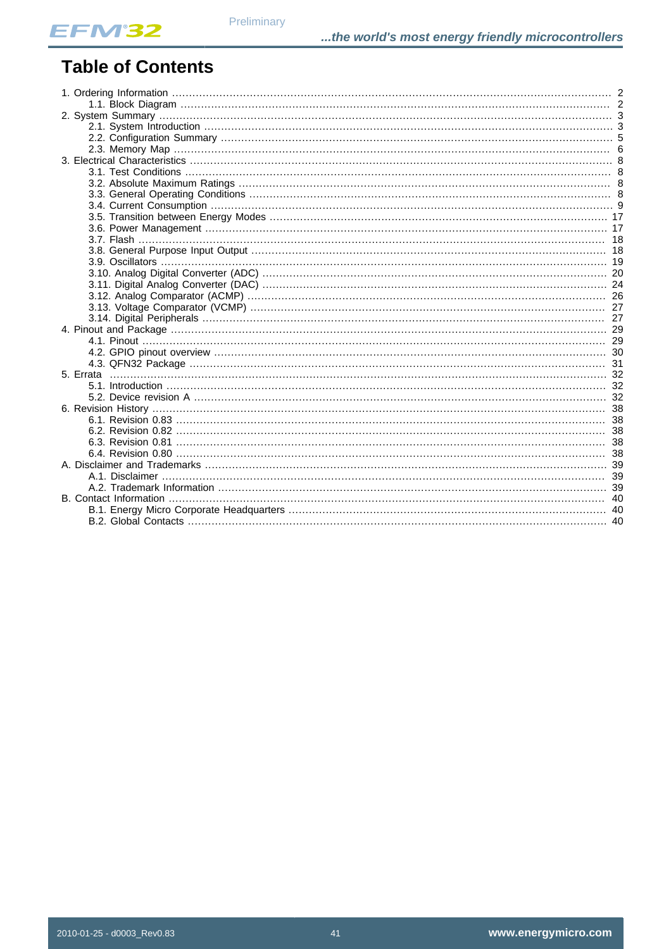## **Table of Contents**

Preliminary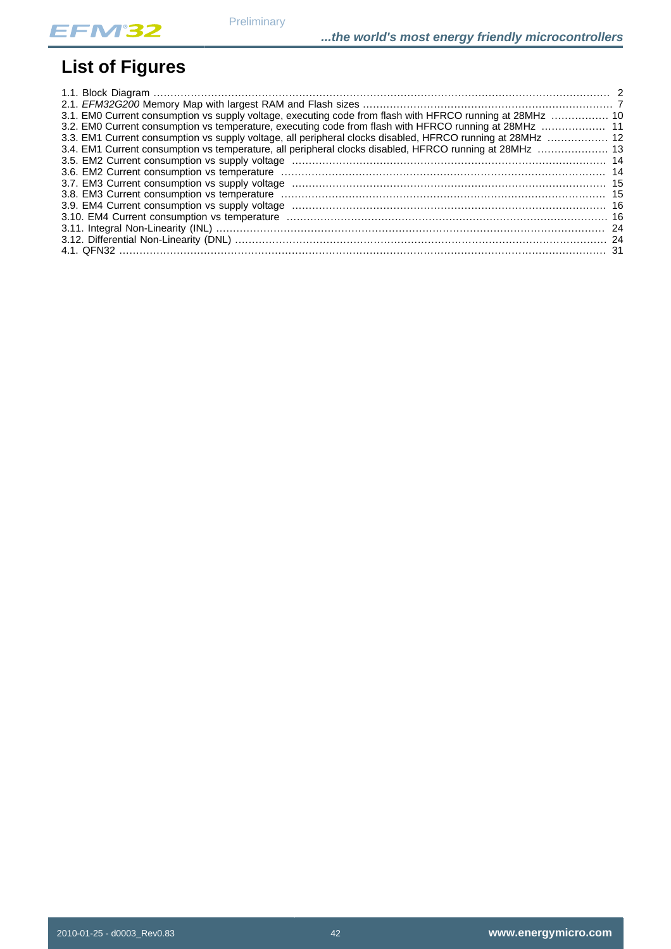# **List of Figures**

| 3.1. EM0 Current consumption vs supply voltage, executing code from flash with HFRCO running at 28MHz  10  |  |
|------------------------------------------------------------------------------------------------------------|--|
| 3.2. EM0 Current consumption vs temperature, executing code from flash with HFRCO running at 28MHz  11     |  |
| 3.3. EM1 Current consumption vs supply voltage, all peripheral clocks disabled, HFRCO running at 28MHz  12 |  |
| 3.4. EM1 Current consumption vs temperature, all peripheral clocks disabled, HFRCO running at 28MHz  13    |  |
|                                                                                                            |  |
|                                                                                                            |  |
|                                                                                                            |  |
|                                                                                                            |  |
|                                                                                                            |  |
|                                                                                                            |  |
|                                                                                                            |  |
|                                                                                                            |  |
|                                                                                                            |  |

Preliminary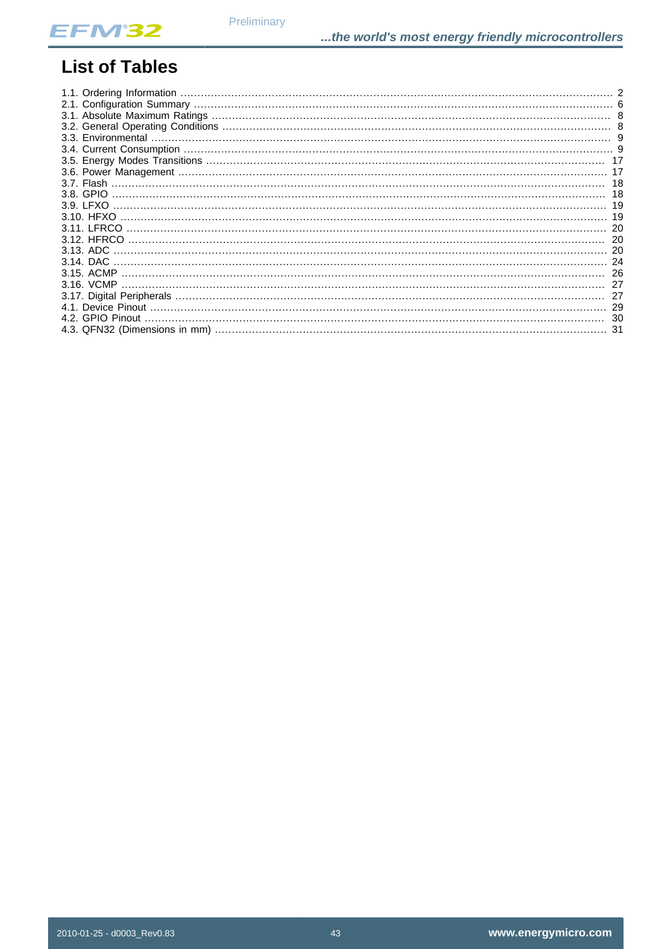

## **List of Tables**

|                  | -18 |
|------------------|-----|
|                  |     |
|                  |     |
|                  |     |
|                  |     |
|                  |     |
| $3.13.$ ADC      |     |
|                  |     |
|                  |     |
|                  |     |
|                  |     |
|                  |     |
| 4.2. GPIO Pinout |     |
|                  |     |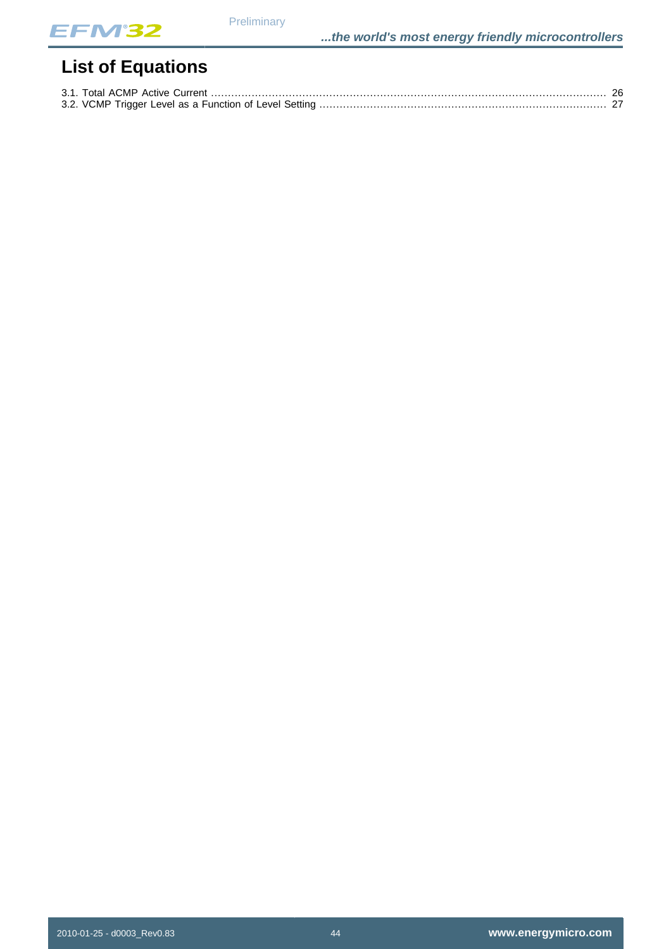

# **List of Equations**